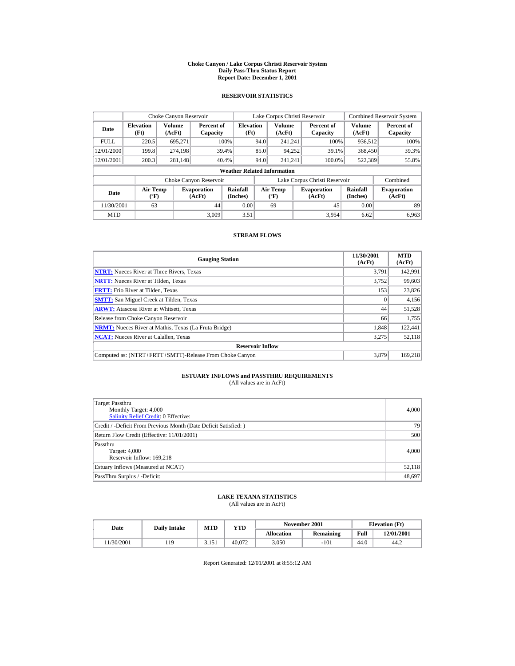#### **Choke Canyon / Lake Corpus Christi Reservoir System Daily Pass-Thru Status Report Report Date: December 1, 2001**

## **RESERVOIR STATISTICS**

|             | Choke Canyon Reservoir                      |                  |                              |                          |      | Lake Corpus Christi Reservoir    |  |                               |                             | <b>Combined Reservoir System</b> |  |  |  |
|-------------|---------------------------------------------|------------------|------------------------------|--------------------------|------|----------------------------------|--|-------------------------------|-----------------------------|----------------------------------|--|--|--|
| Date        | <b>Elevation</b><br>(Ft)                    | Volume<br>(AcFt) | Percent of<br>Capacity       | <b>Elevation</b><br>(Ft) |      | Volume<br>(AcFt)                 |  | Percent of<br>Capacity        | Volume<br>(AcFt)            | Percent of<br>Capacity           |  |  |  |
| <b>FULL</b> | 220.5                                       | 695.271          |                              | 100%                     | 94.0 | 241.241                          |  | 100%                          | 936,512                     | 100%                             |  |  |  |
| 12/01/2000  | 199.8                                       | 274.198          |                              | 39.4%                    | 85.0 | 94,252                           |  | 39.1%                         | 368,450                     | 39.3%                            |  |  |  |
| 12/01/2001  | 200.3                                       | 281,148          |                              | 40.4%                    | 94.0 | 241.241                          |  | 100.0%                        | 522,389                     | 55.8%                            |  |  |  |
|             | <b>Weather Related Information</b>          |                  |                              |                          |      |                                  |  |                               |                             |                                  |  |  |  |
|             |                                             |                  | Choke Canyon Reservoir       |                          |      |                                  |  | Lake Corpus Christi Reservoir |                             | Combined                         |  |  |  |
| Date        | <b>Air Temp</b><br>$({}^{\circ}\mathrm{F})$ |                  | <b>Evaporation</b><br>(AcFt) | Rainfall<br>(Inches)     |      | <b>Air Temp</b><br>$(^{\circ}F)$ |  | <b>Evaporation</b><br>(AcFt)  | <b>Rainfall</b><br>(Inches) | <b>Evaporation</b><br>(AcFt)     |  |  |  |
| 11/30/2001  | 63                                          |                  | 44                           | 0.00                     |      | 69                               |  | 45                            | 0.00                        | 89                               |  |  |  |
| <b>MTD</b>  |                                             |                  | 3.009                        | 3.51                     |      |                                  |  | 3.954                         | 6.62                        | 6.963                            |  |  |  |

## **STREAM FLOWS**

| <b>Gauging Station</b>                                       | 11/30/2001<br>(AcFt) | <b>MTD</b><br>(AcFt) |
|--------------------------------------------------------------|----------------------|----------------------|
| <b>NTRT:</b> Nueces River at Three Rivers, Texas             | 3.791                | 142.991              |
| <b>NRTT:</b> Nueces River at Tilden, Texas                   | 3.752                | 99,603               |
| <b>FRTT:</b> Frio River at Tilden, Texas                     | 153                  | 23,826               |
| <b>SMTT:</b> San Miguel Creek at Tilden, Texas               | $\Omega$             | 4,156                |
| <b>ARWT:</b> Atascosa River at Whitsett, Texas               | 44                   | 51,528               |
| Release from Choke Canyon Reservoir                          | 66                   | 1,755                |
| <b>NRMT:</b> Nueces River at Mathis, Texas (La Fruta Bridge) | 1.848                | 122,441              |
| <b>NCAT:</b> Nueces River at Calallen, Texas                 | 3,275                | 52,118               |
| <b>Reservoir Inflow</b>                                      |                      |                      |
| Computed as: (NTRT+FRTT+SMTT)-Release From Choke Canvon      | 3.879                | 169.218              |

# **ESTUARY INFLOWS and PASSTHRU REQUIREMENTS**<br>(All values are in AcFt)

| Target Passthru<br>Monthly Target: 4,000<br><b>Salinity Relief Credit: 0 Effective:</b> | 4,000  |
|-----------------------------------------------------------------------------------------|--------|
| Credit / -Deficit From Previous Month (Date Deficit Satisfied:)                         | 79     |
| Return Flow Credit (Effective: 11/01/2001)                                              | 500    |
| Passthru<br>Target: 4,000<br>Reservoir Inflow: 169,218                                  | 4,000  |
| Estuary Inflows (Measured at NCAT)                                                      | 52,118 |
| PassThru Surplus / -Deficit:                                                            | 48,697 |

## **LAKE TEXANA STATISTICS**

(All values are in AcFt)

| Date      | <b>Daily Intake</b> | MTD   | VTD    |            | November 2001 |      | <b>Elevation</b> (Ft) |
|-----------|---------------------|-------|--------|------------|---------------|------|-----------------------|
|           |                     |       |        | Allocation | Remaining     | Full | 12/01/2001            |
| 1/30/2001 | 119                 | 3.151 | 40.072 | 3.050      | $-101$        | 44.0 | 44.2                  |

Report Generated: 12/01/2001 at 8:55:12 AM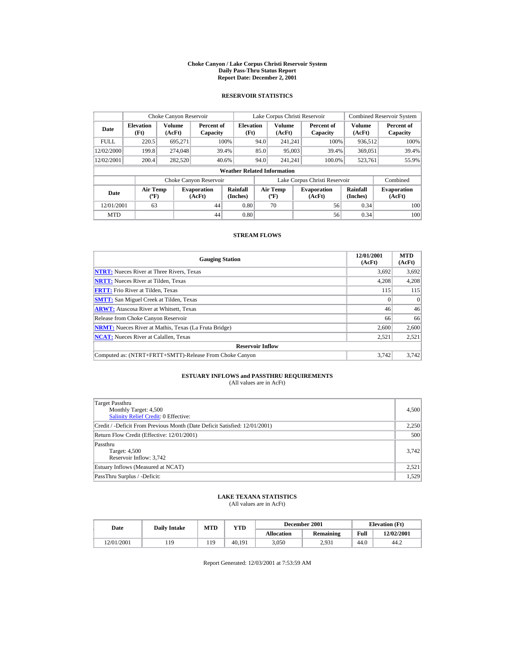#### **Choke Canyon / Lake Corpus Christi Reservoir System Daily Pass-Thru Status Report Report Date: December 2, 2001**

## **RESERVOIR STATISTICS**

|             | Choke Canyon Reservoir             |                         |                              |                          |      | Lake Corpus Christi Reservoir             |  |                               |                      | <b>Combined Reservoir System</b> |  |  |  |
|-------------|------------------------------------|-------------------------|------------------------------|--------------------------|------|-------------------------------------------|--|-------------------------------|----------------------|----------------------------------|--|--|--|
| Date        | <b>Elevation</b><br>(Ft)           | <b>Volume</b><br>(AcFt) | Percent of<br>Capacity       | <b>Elevation</b><br>(Ft) |      | Volume<br>(AcFt)                          |  | Percent of<br>Capacity        | Volume<br>(AcFt)     | Percent of<br>Capacity           |  |  |  |
| <b>FULL</b> | 220.5                              | 695.271                 |                              | 100%                     | 94.0 | 241.241                                   |  | 100%                          | 936.512              | 100%                             |  |  |  |
| 12/02/2000  | 199.8                              | 274,048                 |                              | 39.4%                    | 85.0 | 95,003                                    |  | 39.4%                         | 369,051              | 39.4%                            |  |  |  |
| 12/02/2001  | 200.4                              | 282,520                 |                              | 40.6%                    | 94.0 | 241.241                                   |  | 100.0%                        | 523,761              | 55.9%                            |  |  |  |
|             | <b>Weather Related Information</b> |                         |                              |                          |      |                                           |  |                               |                      |                                  |  |  |  |
|             |                                    |                         | Choke Canyon Reservoir       |                          |      |                                           |  | Lake Corpus Christi Reservoir |                      | Combined                         |  |  |  |
| Date        | <b>Air Temp</b><br>$(^{\circ}F)$   |                         | <b>Evaporation</b><br>(AcFt) | Rainfall<br>(Inches)     |      | <b>Air Temp</b><br>$({}^{\circ}\text{F})$ |  | <b>Evaporation</b><br>(AcFt)  | Rainfall<br>(Inches) | <b>Evaporation</b><br>(AcFt)     |  |  |  |
| 12/01/2001  | 63                                 |                         | 44                           | 0.80                     |      | 70                                        |  | 56                            | 0.34                 | 100                              |  |  |  |
| <b>MTD</b>  |                                    |                         | 44                           | 0.80                     |      |                                           |  | 56                            | 0.34                 | 100                              |  |  |  |

## **STREAM FLOWS**

| <b>Gauging Station</b>                                       | 12/01/2001<br>(AcFt) | <b>MTD</b><br>(AcFt) |
|--------------------------------------------------------------|----------------------|----------------------|
| <b>NTRT:</b> Nueces River at Three Rivers, Texas             | 3,692                | 3,692                |
| <b>NRTT:</b> Nueces River at Tilden, Texas                   | 4.208                | 4,208                |
| <b>FRTT:</b> Frio River at Tilden, Texas                     | 115                  | 115                  |
| <b>SMTT:</b> San Miguel Creek at Tilden, Texas               | $\Omega$             | $\Omega$             |
| <b>ARWT:</b> Atascosa River at Whitsett, Texas               | 46                   | 46                   |
| Release from Choke Canyon Reservoir                          | 66                   | 66                   |
| <b>NRMT:</b> Nueces River at Mathis, Texas (La Fruta Bridge) | 2,600                | 2,600                |
| <b>NCAT:</b> Nueces River at Calallen, Texas                 | 2,521                | 2,521                |
| <b>Reservoir Inflow</b>                                      |                      |                      |
| Computed as: (NTRT+FRTT+SMTT)-Release From Choke Canyon      | 3.742                | 3.742                |

# **ESTUARY INFLOWS and PASSTHRU REQUIREMENTS**<br>(All values are in AcFt)

| Target Passthru<br>Monthly Target: 4,500<br><b>Salinity Relief Credit: 0 Effective:</b> | 4,500 |
|-----------------------------------------------------------------------------------------|-------|
| Credit / -Deficit From Previous Month (Date Deficit Satisfied: 12/01/2001)              | 2,250 |
| Return Flow Credit (Effective: 12/01/2001)                                              | 500   |
| Passthru<br>Target: 4,500<br>Reservoir Inflow: 3,742                                    | 3.742 |
| Estuary Inflows (Measured at NCAT)                                                      | 2,521 |
| PassThru Surplus / -Deficit:                                                            | 1,529 |

## **LAKE TEXANA STATISTICS**

(All values are in AcFt)

| Date       | <b>Daily Intake</b> | December 2001<br><b>MTD</b><br>VTD |        |                   | <b>Elevation</b> (Ft) |      |            |
|------------|---------------------|------------------------------------|--------|-------------------|-----------------------|------|------------|
|            |                     |                                    |        | <b>Allocation</b> | Remaining             | Full | 12/02/2001 |
| 12/01/2001 | 119                 | 119                                | 40.191 | 3.050             | 2.931                 | 44.0 | 44.2       |

Report Generated: 12/03/2001 at 7:53:59 AM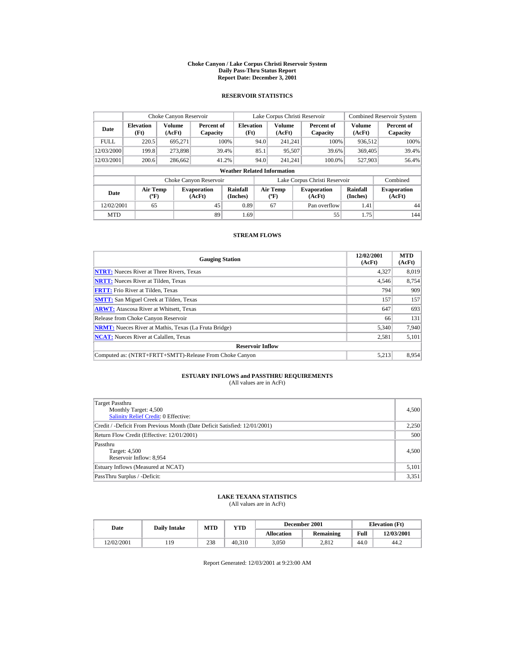#### **Choke Canyon / Lake Corpus Christi Reservoir System Daily Pass-Thru Status Report Report Date: December 3, 2001**

## **RESERVOIR STATISTICS**

| Choke Canyon Reservoir |                                             |                         |                              |                          |                                                                                          | Lake Corpus Christi Reservoir |                              |                               |                         | <b>Combined Reservoir System</b> |  |  |  |
|------------------------|---------------------------------------------|-------------------------|------------------------------|--------------------------|------------------------------------------------------------------------------------------|-------------------------------|------------------------------|-------------------------------|-------------------------|----------------------------------|--|--|--|
| Date                   | <b>Elevation</b><br>(Ft)                    | <b>Volume</b><br>(AcFt) | Percent of<br>Capacity       | <b>Elevation</b><br>(Ft) |                                                                                          | <b>Volume</b><br>(AcFt)       |                              | Percent of<br>Capacity        | <b>Volume</b><br>(AcFt) | Percent of<br>Capacity           |  |  |  |
| <b>FULL</b>            | 220.5                                       | 695,271                 |                              | 100%                     | 94.0                                                                                     | 241.241                       |                              | 100%                          | 936.512                 | 100%                             |  |  |  |
| 12/03/2000             | 199.8                                       | 273,898                 |                              | 39.4%                    | 85.1                                                                                     | 95,507                        |                              | 39.6%                         | 369,405                 | 39.4%                            |  |  |  |
| 12/03/2001             | 200.6                                       | 286,662                 |                              | 41.2%                    | 94.0                                                                                     | 241.241                       |                              | 100.0%                        | 527,903                 | 56.4%                            |  |  |  |
|                        | <b>Weather Related Information</b>          |                         |                              |                          |                                                                                          |                               |                              |                               |                         |                                  |  |  |  |
|                        |                                             |                         | Choke Canyon Reservoir       |                          |                                                                                          |                               |                              | Lake Corpus Christi Reservoir |                         | Combined                         |  |  |  |
| Date                   | <b>Air Temp</b><br>$({}^{\circ}\mathrm{F})$ |                         | <b>Evaporation</b><br>(AcFt) | Rainfall<br>(Inches)     | Rainfall<br><b>Air Temp</b><br><b>Evaporation</b><br>(Inches)<br>$(^{\circ}F)$<br>(AcFt) |                               | <b>Evaporation</b><br>(AcFt) |                               |                         |                                  |  |  |  |
| 12/02/2001             | 65                                          |                         | 45                           | 0.89                     |                                                                                          | 67                            |                              | Pan overflow                  | 1.41                    | 44                               |  |  |  |
| <b>MTD</b>             |                                             |                         | 89                           | 1.69                     |                                                                                          |                               |                              | 55                            | 1.75                    | 144                              |  |  |  |

## **STREAM FLOWS**

| <b>Gauging Station</b>                                       | 12/02/2001<br>(AcFt) | <b>MTD</b><br>(AcFt) |
|--------------------------------------------------------------|----------------------|----------------------|
| <b>NTRT:</b> Nueces River at Three Rivers, Texas             | 4,327                | 8,019                |
| <b>NRTT:</b> Nueces River at Tilden, Texas                   | 4.546                | 8,754                |
| <b>FRTT:</b> Frio River at Tilden, Texas                     | 794                  | 909                  |
| <b>SMTT:</b> San Miguel Creek at Tilden, Texas               | 157                  | 157                  |
| <b>ARWT:</b> Atascosa River at Whitsett, Texas               | 647                  | 693                  |
| Release from Choke Canyon Reservoir                          | 66                   | 131                  |
| <b>NRMT:</b> Nueces River at Mathis, Texas (La Fruta Bridge) | 5.340                | 7.940                |
| <b>NCAT:</b> Nueces River at Calallen, Texas                 | 2,581                | 5,101                |
| <b>Reservoir Inflow</b>                                      |                      |                      |
| Computed as: (NTRT+FRTT+SMTT)-Release From Choke Canyon      | 5.213                | 8.954                |

# **ESTUARY INFLOWS and PASSTHRU REQUIREMENTS**<br>(All values are in AcFt)

| Target Passthru<br>Monthly Target: 4,500<br><b>Salinity Relief Credit: 0 Effective:</b> | 4,500 |
|-----------------------------------------------------------------------------------------|-------|
| Credit / -Deficit From Previous Month (Date Deficit Satisfied: 12/01/2001)              | 2,250 |
| Return Flow Credit (Effective: 12/01/2001)                                              | 500   |
| Passthru<br>Target: 4,500<br>Reservoir Inflow: 8,954                                    | 4,500 |
| Estuary Inflows (Measured at NCAT)                                                      | 5,101 |
| PassThru Surplus / -Deficit:                                                            | 3,351 |

## **LAKE TEXANA STATISTICS**

(All values are in AcFt)

| Date       | <b>Daily Intake</b> | <b>MTD</b> | $_{\rm VTD}$ |                   | December 2001 | <b>Elevation</b> (Ft) |            |
|------------|---------------------|------------|--------------|-------------------|---------------|-----------------------|------------|
|            |                     |            |              | <b>Allocation</b> | Remaining     | Full                  | 12/03/2001 |
| 12/02/2001 | 19                  | 238        | 40.310       | 3.050             | 2.812         | 44.0                  | 44.2       |

Report Generated: 12/03/2001 at 9:23:00 AM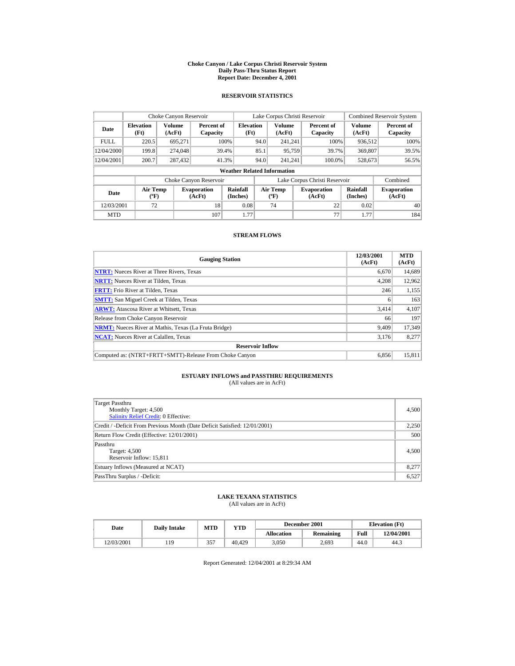#### **Choke Canyon / Lake Corpus Christi Reservoir System Daily Pass-Thru Status Report Report Date: December 4, 2001**

## **RESERVOIR STATISTICS**

|             | Choke Canyon Reservoir           |                         |                              |                                    | Lake Corpus Christi Reservoir |                                          |  |                               |                      | <b>Combined Reservoir System</b> |  |
|-------------|----------------------------------|-------------------------|------------------------------|------------------------------------|-------------------------------|------------------------------------------|--|-------------------------------|----------------------|----------------------------------|--|
| Date        | <b>Elevation</b><br>(Ft)         | <b>Volume</b><br>(AcFt) | Percent of<br>Capacity       | <b>Elevation</b><br>(Ft)           |                               | <b>Volume</b><br>(AcFt)                  |  | Percent of<br>Capacity        | Volume<br>(AcFt)     | Percent of<br>Capacity           |  |
| <b>FULL</b> | 220.5                            | 695.271                 |                              | 100%                               | 94.0                          | 241.241                                  |  | 100%                          | 936.512              | 100%                             |  |
| 12/04/2000  | 199.8                            | 274,048                 |                              | 39.4%                              | 85.1                          | 95,759                                   |  | 39.7%                         | 369,807              | 39.5%                            |  |
| 12/04/2001  | 200.7                            | 287,432                 |                              | 41.3%                              | 94.0                          | 241.241                                  |  | 100.0%                        | 528,673              | 56.5%                            |  |
|             |                                  |                         |                              | <b>Weather Related Information</b> |                               |                                          |  |                               |                      |                                  |  |
|             |                                  |                         | Choke Canyon Reservoir       |                                    |                               |                                          |  | Lake Corpus Christi Reservoir |                      | Combined                         |  |
| Date        | <b>Air Temp</b><br>$(^{\circ}F)$ |                         | <b>Evaporation</b><br>(AcFt) | Rainfall<br>(Inches)               |                               | <b>Air Temp</b><br>$({}^{\circ}{\rm F})$ |  | <b>Evaporation</b><br>(AcFt)  | Rainfall<br>(Inches) | <b>Evaporation</b><br>(AcFt)     |  |
| 12/03/2001  | 72                               |                         | 18                           | 0.08                               |                               | 74                                       |  | 22                            | 0.02                 | 40                               |  |
| <b>MTD</b>  |                                  |                         | 107                          | 1.77                               |                               |                                          |  | 77                            | 1.77                 | 184                              |  |

## **STREAM FLOWS**

| <b>Gauging Station</b>                                       | 12/03/2001<br>(AcFt) | <b>MTD</b><br>(AcFt) |
|--------------------------------------------------------------|----------------------|----------------------|
| <b>NTRT:</b> Nueces River at Three Rivers, Texas             | 6.670                | 14,689               |
| <b>NRTT:</b> Nueces River at Tilden, Texas                   | 4.208                | 12,962               |
| <b>FRTT:</b> Frio River at Tilden, Texas                     | 246                  | 1,155                |
| <b>SMTT:</b> San Miguel Creek at Tilden, Texas               | 6                    | 163                  |
| <b>ARWT:</b> Atascosa River at Whitsett, Texas               | 3,414                | 4,107                |
| Release from Choke Canyon Reservoir                          | 66                   | 197                  |
| <b>NRMT:</b> Nueces River at Mathis, Texas (La Fruta Bridge) | 9.409                | 17.349               |
| <b>NCAT:</b> Nueces River at Calallen, Texas                 | 3.176                | 8,277                |
| <b>Reservoir Inflow</b>                                      |                      |                      |
| Computed as: (NTRT+FRTT+SMTT)-Release From Choke Canyon      | 6.856                | 15,811               |

# **ESTUARY INFLOWS and PASSTHRU REQUIREMENTS**<br>(All values are in AcFt)

| Target Passthru<br>Monthly Target: 4,500<br><b>Salinity Relief Credit: 0 Effective:</b> | 4,500 |
|-----------------------------------------------------------------------------------------|-------|
| Credit / -Deficit From Previous Month (Date Deficit Satisfied: 12/01/2001)              | 2,250 |
| Return Flow Credit (Effective: 12/01/2001)                                              | 500   |
| Passthru<br>Target: 4,500<br>Reservoir Inflow: 15,811                                   | 4,500 |
| Estuary Inflows (Measured at NCAT)                                                      | 8,277 |
| PassThru Surplus / -Deficit:                                                            | 6,527 |

## **LAKE TEXANA STATISTICS**

(All values are in AcFt)

| Date       | <b>Daily Intake</b> | <b>MTD</b> | VTD    |                   | December 2001 |      | <b>Elevation</b> (Ft) |
|------------|---------------------|------------|--------|-------------------|---------------|------|-----------------------|
|            |                     |            |        | <b>Allocation</b> | Remaining     | Full | 12/04/2001            |
| 12/03/2001 | 19                  | 357<br>JJ. | 40.429 | 3.050             | 2.693         | 44.0 | 44.3                  |

Report Generated: 12/04/2001 at 8:29:34 AM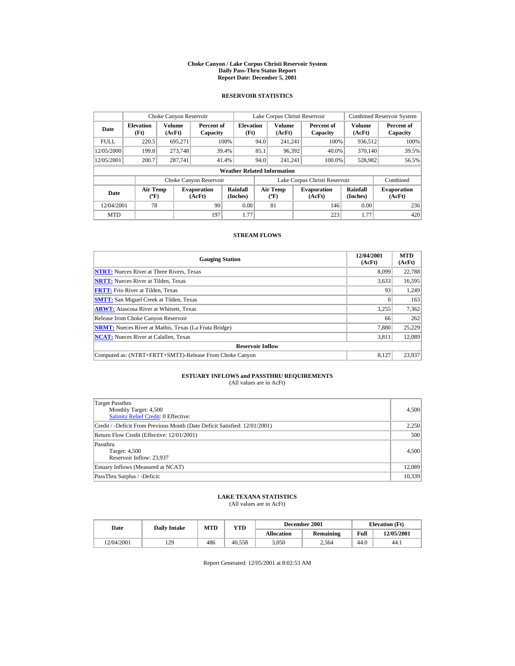#### **Choke Canyon / Lake Corpus Christi Reservoir System Daily Pass-Thru Status Report Report Date: December 5, 2001**

## **RESERVOIR STATISTICS**

|             | Choke Canyon Reservoir           |                  |                              |                                    | Lake Corpus Christi Reservoir             |                         |  |                               |                      | <b>Combined Reservoir System</b> |
|-------------|----------------------------------|------------------|------------------------------|------------------------------------|-------------------------------------------|-------------------------|--|-------------------------------|----------------------|----------------------------------|
| Date        | <b>Elevation</b><br>(Ft)         | Volume<br>(AcFt) | Percent of<br>Capacity       | <b>Elevation</b><br>(Ft)           |                                           | <b>Volume</b><br>(AcFt) |  | Percent of<br>Capacity        | Volume<br>(AcFt)     | Percent of<br>Capacity           |
| <b>FULL</b> | 220.5                            | 695.271          |                              | 100%                               | 94.0                                      | 241.241                 |  | 100%                          | 936.512              | 100%                             |
| 12/05/2000  | 199.8                            | 273,748          |                              | 39.4%                              | 85.1                                      | 96,392                  |  | 40.0%                         | 370.140              | 39.5%                            |
| 12/05/2001  | 200.7                            | 287,741          |                              | 41.4%                              | 94.0                                      | 241.241                 |  | 100.0%                        | 528,982              | 56.5%                            |
|             |                                  |                  |                              | <b>Weather Related Information</b> |                                           |                         |  |                               |                      |                                  |
|             |                                  |                  | Choke Canyon Reservoir       |                                    |                                           |                         |  | Lake Corpus Christi Reservoir |                      | Combined                         |
| Date        | <b>Air Temp</b><br>$(^{\circ}F)$ |                  | <b>Evaporation</b><br>(AcFt) | Rainfall<br>(Inches)               | <b>Air Temp</b><br>$({}^{\circ}\text{F})$ |                         |  | <b>Evaporation</b><br>(AcFt)  | Rainfall<br>(Inches) | <b>Evaporation</b><br>(AcFt)     |
| 12/04/2001  | 78                               |                  | 90                           | 0.00                               |                                           | 81                      |  | 146                           | 0.00                 | 236                              |
| <b>MTD</b>  |                                  |                  | 197                          | 1.77                               |                                           |                         |  | 223                           | 1.77                 | 420                              |

## **STREAM FLOWS**

| <b>Gauging Station</b>                                       | 12/04/2001<br>(AcFt) | <b>MTD</b><br>(AcFt) |
|--------------------------------------------------------------|----------------------|----------------------|
| <b>NTRT:</b> Nueces River at Three Rivers, Texas             | 8.099                | 22.788               |
| <b>NRTT:</b> Nueces River at Tilden, Texas                   | 3,633                | 16,595               |
| <b>FRTT:</b> Frio River at Tilden, Texas                     | 93                   | 1,249                |
| <b>SMTT:</b> San Miguel Creek at Tilden, Texas               |                      | 163                  |
| <b>ARWT:</b> Atascosa River at Whitsett, Texas               | 3,255                | 7,362                |
| Release from Choke Canyon Reservoir                          | 66                   | 262                  |
| <b>NRMT:</b> Nueces River at Mathis, Texas (La Fruta Bridge) | 7.880                | 25.229               |
| <b>NCAT:</b> Nueces River at Calallen, Texas                 | 3.811                | 12,089               |
| <b>Reservoir Inflow</b>                                      |                      |                      |
| Computed as: (NTRT+FRTT+SMTT)-Release From Choke Canyon      | 8.127                | 23.937               |

# **ESTUARY INFLOWS and PASSTHRU REQUIREMENTS**<br>(All values are in AcFt)

| Target Passthru<br>Monthly Target: 4,500<br><b>Salinity Relief Credit: 0 Effective:</b> | 4,500  |
|-----------------------------------------------------------------------------------------|--------|
| Credit / -Deficit From Previous Month (Date Deficit Satisfied: 12/01/2001)              | 2,250  |
| Return Flow Credit (Effective: 12/01/2001)                                              | 500    |
| Passthru<br>Target: 4,500<br>Reservoir Inflow: 23,937                                   | 4,500  |
| Estuary Inflows (Measured at NCAT)                                                      | 12,089 |
| PassThru Surplus / -Deficit:                                                            | 10,339 |

## **LAKE TEXANA STATISTICS**

(All values are in AcFt)

| Date       | <b>Daily Intake</b> | <b>MTD</b> | $_{\rm VTD}$ |                   | December 2001 | <b>Elevation</b> (Ft) |            |
|------------|---------------------|------------|--------------|-------------------|---------------|-----------------------|------------|
|            |                     |            |              | <b>Allocation</b> | Remaining     | Full                  | 12/05/2001 |
| 12/04/2001 | 7۵                  | 486        | 40.558       | 3.050             | 2.564         | 44.0                  | 44.1       |

Report Generated: 12/05/2001 at 8:02:53 AM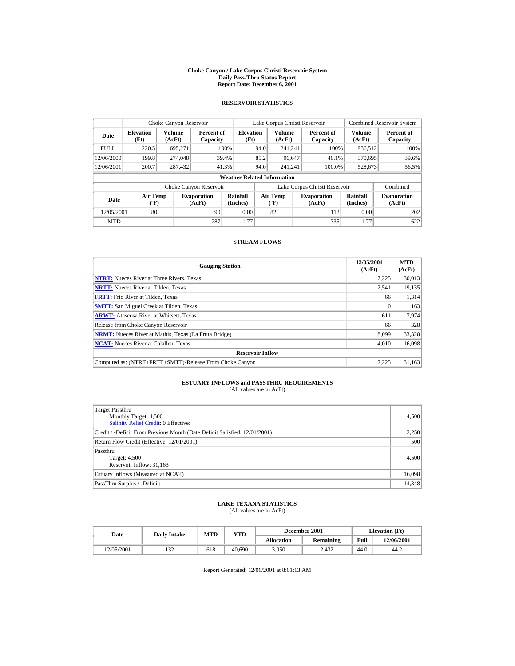#### **Choke Canyon / Lake Corpus Christi Reservoir System Daily Pass-Thru Status Report Report Date: December 6, 2001**

## **RESERVOIR STATISTICS**

|             | Choke Canyon Reservoir             |                  |                              |                          | Lake Corpus Christi Reservoir         |                  |  |                               |                      | <b>Combined Reservoir System</b> |  |  |
|-------------|------------------------------------|------------------|------------------------------|--------------------------|---------------------------------------|------------------|--|-------------------------------|----------------------|----------------------------------|--|--|
| Date        | <b>Elevation</b><br>(Ft)           | Volume<br>(AcFt) | Percent of<br>Capacity       | <b>Elevation</b><br>(Ft) |                                       | Volume<br>(AcFt) |  | Percent of<br>Capacity        | Volume<br>(AcFt)     | Percent of<br>Capacity           |  |  |
| <b>FULL</b> | 220.5                              | 695.271          |                              | 100%                     | 94.0                                  | 241.241          |  | 100%                          | 936,512              | 100%                             |  |  |
| 12/06/2000  | 199.8                              | 274,048          |                              | 39.4%                    | 85.2                                  | 96.647           |  | 40.1%                         | 370,695              | 39.6%                            |  |  |
| 12/06/2001  | 200.7                              | 287,432          |                              | 41.3%                    | 94.0                                  | 241.241          |  | 100.0%                        | 528,673              | 56.5%                            |  |  |
|             | <b>Weather Related Information</b> |                  |                              |                          |                                       |                  |  |                               |                      |                                  |  |  |
|             |                                    |                  | Choke Canyon Reservoir       |                          |                                       |                  |  | Lake Corpus Christi Reservoir |                      | Combined                         |  |  |
| Date        | Air Temp<br>$({}^o\mathrm{F})$     |                  | <b>Evaporation</b><br>(AcFt) | Rainfall<br>(Inches)     | <b>Air Temp</b><br>$({}^o\mathrm{F})$ |                  |  | <b>Evaporation</b><br>(AcFt)  | Rainfall<br>(Inches) | <b>Evaporation</b><br>(AcFt)     |  |  |
| 12/05/2001  | 80                                 |                  | 90                           | 0.00                     |                                       | 82               |  | 112                           | 0.00                 | 202                              |  |  |
| <b>MTD</b>  |                                    |                  | 287                          | 1.77                     |                                       |                  |  | 335                           | 1.77                 | 622                              |  |  |

### **STREAM FLOWS**

| <b>Gauging Station</b>                                       | 12/05/2001<br>(AcFt) | <b>MTD</b><br>(AcFt) |
|--------------------------------------------------------------|----------------------|----------------------|
| <b>NTRT:</b> Nueces River at Three Rivers, Texas             | 7,225                | 30,013               |
| <b>NRTT:</b> Nueces River at Tilden, Texas                   | 2.541                | 19,135               |
| <b>FRTT:</b> Frio River at Tilden, Texas                     | 66                   | 1,314                |
| <b>SMTT:</b> San Miguel Creek at Tilden, Texas               | 0                    | 163                  |
| <b>ARWT:</b> Atascosa River at Whitsett, Texas               | 611                  | 7,974                |
| Release from Choke Canyon Reservoir                          | 66                   | 328                  |
| <b>NRMT:</b> Nueces River at Mathis, Texas (La Fruta Bridge) | 8.099                | 33,328               |
| <b>NCAT:</b> Nueces River at Calallen, Texas                 | 4,010                | 16,098               |
| <b>Reservoir Inflow</b>                                      |                      |                      |
| Computed as: (NTRT+FRTT+SMTT)-Release From Choke Canyon      | 7.225                | 31,163               |

# **ESTUARY INFLOWS and PASSTHRU REQUIREMENTS**<br>(All values are in AcFt)

| Target Passthru<br>Monthly Target: 4,500<br><b>Salinity Relief Credit: 0 Effective:</b> | 4,500  |
|-----------------------------------------------------------------------------------------|--------|
| Credit / -Deficit From Previous Month (Date Deficit Satisfied: 12/01/2001)              | 2,250  |
| Return Flow Credit (Effective: 12/01/2001)                                              | 500    |
| Passthru<br>Target: 4,500<br>Reservoir Inflow: 31,163                                   | 4,500  |
| Estuary Inflows (Measured at NCAT)                                                      | 16,098 |
| PassThru Surplus / -Deficit:                                                            | 14,348 |

# **LAKE TEXANA STATISTICS** (All values are in AcFt)

| Date       | <b>Daily Intake</b> | <b>MTD</b> | VTD    |            | December 2001 | <b>Elevation</b> (Ft) |            |
|------------|---------------------|------------|--------|------------|---------------|-----------------------|------------|
|            |                     |            |        | Allocation | Remaining     | Full                  | 12/06/2001 |
| 12/05/2001 | $\sim$<br>152       | 618        | 40.690 | 3.050      | 2.432         | 44.0                  | 44.2       |

Report Generated: 12/06/2001 at 8:01:13 AM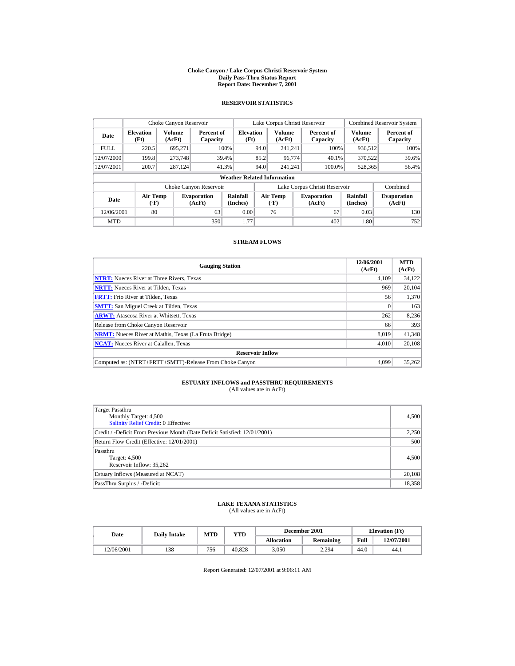#### **Choke Canyon / Lake Corpus Christi Reservoir System Daily Pass-Thru Status Report Report Date: December 7, 2001**

## **RESERVOIR STATISTICS**

|             | Choke Canyon Reservoir             |                  |                              |                          |      | Lake Corpus Christi Reservoir                                         |  |                               |                              | <b>Combined Reservoir System</b> |  |  |  |
|-------------|------------------------------------|------------------|------------------------------|--------------------------|------|-----------------------------------------------------------------------|--|-------------------------------|------------------------------|----------------------------------|--|--|--|
| Date        | <b>Elevation</b><br>(Ft)           | Volume<br>(AcFt) | Percent of<br>Capacity       | <b>Elevation</b><br>(Ft) |      | Volume<br>(AcFt)                                                      |  | Percent of<br>Capacity        | Volume<br>(AcFt)             | Percent of<br>Capacity           |  |  |  |
| <b>FULL</b> | 220.5                              | 695.271          |                              | 100%                     | 94.0 | 241.241                                                               |  | 100%                          | 936,512                      | 100%                             |  |  |  |
| 12/07/2000  | 199.8                              | 273,748          |                              | 39.4%                    | 85.2 | 96.774                                                                |  | 40.1%                         | 370.522                      | 39.6%                            |  |  |  |
| 12/07/2001  | 200.7                              | 287.124          |                              | 41.3%                    | 94.0 | 241.241                                                               |  | 100.0%                        | 528,365                      | 56.4%                            |  |  |  |
|             | <b>Weather Related Information</b> |                  |                              |                          |      |                                                                       |  |                               |                              |                                  |  |  |  |
|             |                                    |                  | Choke Canyon Reservoir       |                          |      |                                                                       |  | Lake Corpus Christi Reservoir |                              | Combined                         |  |  |  |
| Date        | Air Temp<br>$({}^o\mathrm{F})$     |                  | <b>Evaporation</b><br>(AcFt) | Rainfall<br>(Inches)     |      | <b>Air Temp</b><br><b>Evaporation</b><br>$({}^o\mathrm{F})$<br>(AcFt) |  | Rainfall<br>(Inches)          | <b>Evaporation</b><br>(AcFt) |                                  |  |  |  |
| 12/06/2001  | 80                                 |                  | 63                           | 0.00                     |      | 76                                                                    |  | 67                            | 0.03                         | 130                              |  |  |  |
| <b>MTD</b>  |                                    |                  | 350                          | 1.77                     |      |                                                                       |  | 402                           | 1.80                         | 752                              |  |  |  |

### **STREAM FLOWS**

| <b>Gauging Station</b>                                       | 12/06/2001<br>(AcFt) | <b>MTD</b><br>(AcFt) |
|--------------------------------------------------------------|----------------------|----------------------|
| <b>NTRT:</b> Nueces River at Three Rivers, Texas             | 4.109                | 34,122               |
| <b>NRTT:</b> Nueces River at Tilden. Texas                   | 969                  | 20.104               |
| <b>FRTT:</b> Frio River at Tilden, Texas                     | 56                   | 1.370                |
| <b>SMTT:</b> San Miguel Creek at Tilden, Texas               | $\Omega$             | 163                  |
| <b>ARWT:</b> Atascosa River at Whitsett, Texas               | 262                  | 8,236                |
| Release from Choke Canyon Reservoir                          | 66                   | 393                  |
| <b>NRMT:</b> Nueces River at Mathis, Texas (La Fruta Bridge) | 8.019                | 41,348               |
| <b>NCAT:</b> Nueces River at Calallen, Texas                 | 4,010                | 20,108               |
| <b>Reservoir Inflow</b>                                      |                      |                      |
| Computed as: (NTRT+FRTT+SMTT)-Release From Choke Canyon      | 4.099                | 35,262               |

# **ESTUARY INFLOWS and PASSTHRU REQUIREMENTS**<br>(All values are in AcFt)

| Target Passthru<br>Monthly Target: 4,500<br><b>Salinity Relief Credit: 0 Effective:</b> | 4,500  |
|-----------------------------------------------------------------------------------------|--------|
| Credit / -Deficit From Previous Month (Date Deficit Satisfied: 12/01/2001)              | 2,250  |
| Return Flow Credit (Effective: 12/01/2001)                                              | 500    |
| Passthru<br>Target: 4,500<br>Reservoir Inflow: 35,262                                   | 4,500  |
| Estuary Inflows (Measured at NCAT)                                                      | 20,108 |
| PassThru Surplus / -Deficit:                                                            | 18,358 |

# **LAKE TEXANA STATISTICS** (All values are in AcFt)

| Date       | <b>Daily Intake</b> | MTD | YTD    |                   | December 2001    |      | <b>Elevation</b> (Ft) |
|------------|---------------------|-----|--------|-------------------|------------------|------|-----------------------|
|            |                     |     |        | <b>Allocation</b> | <b>Remaining</b> | Full | 12/07/2001            |
| 12/06/2001 | 138                 | 756 | 40.828 | 3.050             | 2.294            | 44.0 | 44.1                  |

Report Generated: 12/07/2001 at 9:06:11 AM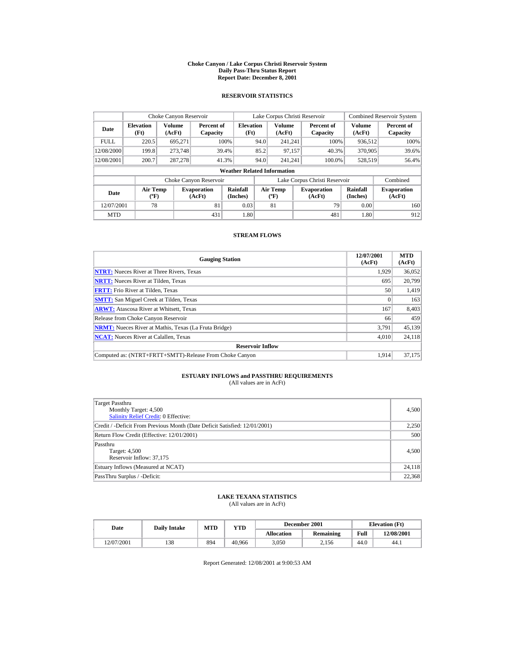#### **Choke Canyon / Lake Corpus Christi Reservoir System Daily Pass-Thru Status Report Report Date: December 8, 2001**

## **RESERVOIR STATISTICS**

|             | Choke Canyon Reservoir                      |                         |                              |                          | Lake Corpus Christi Reservoir |                                          |  |                               |                         | <b>Combined Reservoir System</b> |  |  |  |
|-------------|---------------------------------------------|-------------------------|------------------------------|--------------------------|-------------------------------|------------------------------------------|--|-------------------------------|-------------------------|----------------------------------|--|--|--|
| Date        | <b>Elevation</b><br>(Ft)                    | <b>Volume</b><br>(AcFt) | Percent of<br>Capacity       | <b>Elevation</b><br>(Ft) |                               | <b>Volume</b><br>(AcFt)                  |  | Percent of<br>Capacity        | <b>Volume</b><br>(AcFt) | Percent of<br>Capacity           |  |  |  |
| <b>FULL</b> | 220.5                                       | 695,271                 |                              | 100%                     | 94.0                          | 241.241                                  |  | 100%                          | 936.512                 | 100%                             |  |  |  |
| 12/08/2000  | 199.8                                       | 273,748                 |                              | 39.4%                    | 85.2                          | 97.157                                   |  | 40.3%                         | 370,905                 | 39.6%                            |  |  |  |
| 12/08/2001  | 200.7                                       | 287,278                 |                              | 41.3%                    | 94.0                          | 241.241                                  |  | 100.0%                        | 528,519                 | 56.4%                            |  |  |  |
|             | <b>Weather Related Information</b>          |                         |                              |                          |                               |                                          |  |                               |                         |                                  |  |  |  |
|             |                                             |                         | Choke Canyon Reservoir       |                          |                               |                                          |  | Lake Corpus Christi Reservoir |                         | Combined                         |  |  |  |
| Date        | <b>Air Temp</b><br>$({}^{\circ}\mathrm{F})$ |                         | <b>Evaporation</b><br>(AcFt) | Rainfall<br>(Inches)     |                               | <b>Air Temp</b><br>$({}^{\circ}{\rm F})$ |  | <b>Evaporation</b><br>(AcFt)  | Rainfall<br>(Inches)    | <b>Evaporation</b><br>(AcFt)     |  |  |  |
| 12/07/2001  | 78                                          |                         | 81                           | 0.03                     |                               | 81                                       |  | 79                            | 0.00                    | 160                              |  |  |  |
| <b>MTD</b>  |                                             |                         | 431                          | 1.80                     |                               |                                          |  | 481                           | 1.80                    | 912                              |  |  |  |

## **STREAM FLOWS**

| <b>Gauging Station</b>                                       | 12/07/2001<br>(AcFt) | <b>MTD</b><br>(AcFt) |
|--------------------------------------------------------------|----------------------|----------------------|
| <b>NTRT:</b> Nueces River at Three Rivers, Texas             | 1.929                | 36,052               |
| <b>NRTT:</b> Nueces River at Tilden, Texas                   | 695                  | 20.799               |
| <b>FRTT:</b> Frio River at Tilden, Texas                     | 50                   | 1,419                |
| <b>SMTT:</b> San Miguel Creek at Tilden, Texas               |                      | 163                  |
| <b>ARWT:</b> Atascosa River at Whitsett, Texas               | 167                  | 8,403                |
| Release from Choke Canyon Reservoir                          | 66                   | 459                  |
| <b>NRMT:</b> Nueces River at Mathis, Texas (La Fruta Bridge) | 3.791                | 45.139               |
| <b>NCAT:</b> Nueces River at Calallen, Texas                 | 4,010                | 24,118               |
| <b>Reservoir Inflow</b>                                      |                      |                      |
| Computed as: (NTRT+FRTT+SMTT)-Release From Choke Canyon      | 1.914                | 37.175               |

# **ESTUARY INFLOWS and PASSTHRU REQUIREMENTS**<br>(All values are in AcFt)

| Target Passthru<br>Monthly Target: 4,500<br><b>Salinity Relief Credit: 0 Effective:</b> | 4,500  |
|-----------------------------------------------------------------------------------------|--------|
| Credit / -Deficit From Previous Month (Date Deficit Satisfied: 12/01/2001)              | 2,250  |
| Return Flow Credit (Effective: 12/01/2001)                                              | 500    |
| Passthru<br>Target: 4,500<br>Reservoir Inflow: 37,175                                   | 4,500  |
| Estuary Inflows (Measured at NCAT)                                                      | 24,118 |
| PassThru Surplus / -Deficit:                                                            | 22,368 |

## **LAKE TEXANA STATISTICS**

(All values are in AcFt)

| Date       | <b>Daily Intake</b> | <b>MTD</b> | $_{\rm VTD}$ |                   | December 2001 | <b>Elevation</b> (Ft) |            |
|------------|---------------------|------------|--------------|-------------------|---------------|-----------------------|------------|
|            |                     |            |              | <b>Allocation</b> | Remaining     | Full                  | 12/08/2001 |
| 12/07/2001 | 138                 | 894        | 40.966       | 3.050             | 2.156         | 44.0                  | 44.1       |

Report Generated: 12/08/2001 at 9:00:53 AM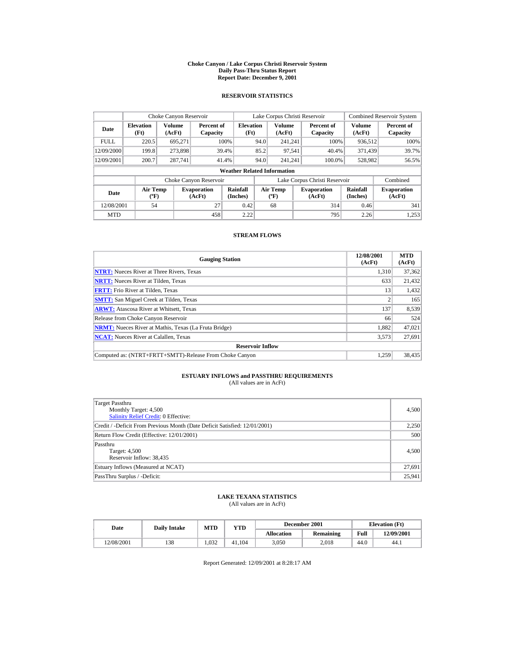#### **Choke Canyon / Lake Corpus Christi Reservoir System Daily Pass-Thru Status Report Report Date: December 9, 2001**

## **RESERVOIR STATISTICS**

|             | Choke Canyon Reservoir             |                  |                              |                          | Lake Corpus Christi Reservoir |                                  |  |                               |                             | <b>Combined Reservoir System</b> |  |  |  |
|-------------|------------------------------------|------------------|------------------------------|--------------------------|-------------------------------|----------------------------------|--|-------------------------------|-----------------------------|----------------------------------|--|--|--|
| Date        | <b>Elevation</b><br>(Ft)           | Volume<br>(AcFt) | Percent of<br>Capacity       | <b>Elevation</b><br>(Ft) |                               | Volume<br>(AcFt)                 |  | Percent of<br>Capacity        | Volume<br>(AcFt)            | Percent of<br>Capacity           |  |  |  |
| <b>FULL</b> | 220.5                              | 695.271          |                              | 100%                     | 94.0                          | 241.241                          |  | 100%                          | 936.512                     | 100%                             |  |  |  |
| 12/09/2000  | 199.8                              | 273,898          |                              | 39.4%                    | 85.2                          | 97,541                           |  | 40.4%                         | 371.439                     | 39.7%                            |  |  |  |
| 12/09/2001  | 200.7                              | 287,741          | 41.4%                        |                          | 94.0                          | 241.241                          |  | 100.0%                        | 528,982                     | 56.5%                            |  |  |  |
|             | <b>Weather Related Information</b> |                  |                              |                          |                               |                                  |  |                               |                             |                                  |  |  |  |
|             |                                    |                  | Choke Canyon Reservoir       |                          |                               |                                  |  | Lake Corpus Christi Reservoir |                             | Combined                         |  |  |  |
| Date        | <b>Air Temp</b><br>$(^{\circ}F)$   |                  | <b>Evaporation</b><br>(AcFt) | Rainfall<br>(Inches)     |                               | <b>Air Temp</b><br>$(^{\circ}F)$ |  | <b>Evaporation</b><br>(AcFt)  | <b>Rainfall</b><br>(Inches) | <b>Evaporation</b><br>(AcFt)     |  |  |  |
| 12/08/2001  | 54                                 |                  | 27                           | 0.42                     |                               | 68                               |  | 314                           | 0.46                        | 341                              |  |  |  |
| <b>MTD</b>  |                                    |                  | 458                          | 2.22                     |                               |                                  |  | 795                           | 2.26                        | 1.253                            |  |  |  |

## **STREAM FLOWS**

| <b>Gauging Station</b>                                       | 12/08/2001<br>(AcFt) | <b>MTD</b><br>(AcFt) |
|--------------------------------------------------------------|----------------------|----------------------|
| <b>NTRT:</b> Nueces River at Three Rivers, Texas             | 1.310                | 37,362               |
| <b>NRTT:</b> Nueces River at Tilden, Texas                   | 633                  | 21,432               |
| <b>FRTT:</b> Frio River at Tilden, Texas                     | 13                   | 1,432                |
| <b>SMTT:</b> San Miguel Creek at Tilden, Texas               |                      | 165                  |
| <b>ARWT:</b> Atascosa River at Whitsett, Texas               | 137                  | 8,539                |
| Release from Choke Canyon Reservoir                          | 66                   | 524                  |
| <b>NRMT:</b> Nueces River at Mathis, Texas (La Fruta Bridge) | 1.882                | 47.021               |
| <b>NCAT:</b> Nueces River at Calallen, Texas                 | 3,573                | 27,691               |
| <b>Reservoir Inflow</b>                                      |                      |                      |
| Computed as: (NTRT+FRTT+SMTT)-Release From Choke Canyon      | 1.259                | 38,435               |

# **ESTUARY INFLOWS and PASSTHRU REQUIREMENTS**<br>(All values are in AcFt)

| Target Passthru<br>Monthly Target: 4,500<br><b>Salinity Relief Credit: 0 Effective:</b> | 4,500  |
|-----------------------------------------------------------------------------------------|--------|
| Credit / -Deficit From Previous Month (Date Deficit Satisfied: 12/01/2001)              | 2,250  |
| Return Flow Credit (Effective: 12/01/2001)                                              | 500    |
| Passthru<br>Target: 4,500<br>Reservoir Inflow: 38,435                                   | 4,500  |
| Estuary Inflows (Measured at NCAT)                                                      | 27,691 |
| PassThru Surplus / -Deficit:                                                            | 25,941 |

## **LAKE TEXANA STATISTICS**

(All values are in AcFt)

| Date       | <b>Daily Intake</b> | <b>MTD</b> | $_{\rm VTD}$ |                   | December 2001 | <b>Elevation</b> (Ft) |            |
|------------|---------------------|------------|--------------|-------------------|---------------|-----------------------|------------|
|            |                     |            |              | <b>Allocation</b> | Remaining     | Full                  | 12/09/2001 |
| 12/08/2001 | 138                 | .032       | 41.104       | 3.050             | 2.018         | 44.0                  | 44.1       |

Report Generated: 12/09/2001 at 8:28:17 AM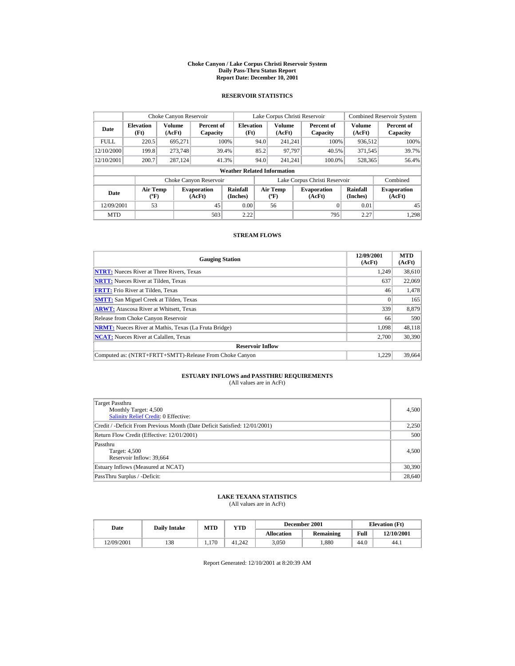#### **Choke Canyon / Lake Corpus Christi Reservoir System Daily Pass-Thru Status Report Report Date: December 10, 2001**

## **RESERVOIR STATISTICS**

|                                                          | Choke Canyon Reservoir   |                  |                              |                                    |                               | Lake Corpus Christi Reservoir             |  |                              |                         | <b>Combined Reservoir System</b> |
|----------------------------------------------------------|--------------------------|------------------|------------------------------|------------------------------------|-------------------------------|-------------------------------------------|--|------------------------------|-------------------------|----------------------------------|
| Date                                                     | <b>Elevation</b><br>(Ft) | Volume<br>(AcFt) | Percent of<br>Capacity       | <b>Elevation</b><br>(Ft)           |                               | <b>Volume</b><br>(AcFt)                   |  | Percent of<br>Capacity       | <b>Volume</b><br>(AcFt) | Percent of<br>Capacity           |
| <b>FULL</b>                                              | 220.5                    | 695.271          |                              | 100%                               | 94.0                          | 241.241                                   |  | 100%                         | 936.512                 | 100%                             |
| 12/10/2000                                               | 199.8                    | 273,748          |                              | 39.4%                              | 85.2                          | 97.797                                    |  | 371,545<br>40.5%             |                         | 39.7%                            |
| 12/10/2001                                               | 200.7                    | 287,124          |                              | 41.3%                              | 94.0                          | 241.241                                   |  | 100.0%                       | 528,365                 | 56.4%                            |
|                                                          |                          |                  |                              | <b>Weather Related Information</b> |                               |                                           |  |                              |                         |                                  |
|                                                          |                          |                  | Choke Canyon Reservoir       |                                    | Lake Corpus Christi Reservoir |                                           |  |                              |                         | Combined                         |
| <b>Air Temp</b><br>Date<br>$({}^{\mathrm{o}}\mathbf{F})$ |                          |                  | <b>Evaporation</b><br>(AcFt) | Rainfall<br>(Inches)               |                               | Air Temp<br>$({}^{\mathrm{o}}\mathrm{F})$ |  | <b>Evaporation</b><br>(AcFt) | Rainfall<br>(Inches)    | <b>Evaporation</b><br>(AcFt)     |
| 12/09/2001                                               | 53                       |                  | 45                           | 0.00                               |                               | 56                                        |  | 0                            | 0.01                    | 45                               |
| <b>MTD</b>                                               |                          |                  | 503                          | 2.22                               |                               |                                           |  | 795                          | 2.27                    | 1.298                            |

## **STREAM FLOWS**

| <b>Gauging Station</b>                                       | 12/09/2001<br>(AcFt) | <b>MTD</b><br>(AcFt) |
|--------------------------------------------------------------|----------------------|----------------------|
| <b>NTRT:</b> Nueces River at Three Rivers, Texas             | 1,249                | 38,610               |
| <b>NRTT:</b> Nueces River at Tilden, Texas                   | 637                  | 22,069               |
| <b>FRTT:</b> Frio River at Tilden, Texas                     | 46                   | 1,478                |
| <b>SMTT:</b> San Miguel Creek at Tilden, Texas               |                      | 165                  |
| <b>ARWT:</b> Atascosa River at Whitsett, Texas               | 339                  | 8,879                |
| Release from Choke Canyon Reservoir                          | 66                   | 590                  |
| <b>NRMT:</b> Nueces River at Mathis, Texas (La Fruta Bridge) | 1.098                | 48.118               |
| <b>NCAT:</b> Nueces River at Calallen, Texas                 | 2,700                | 30,390               |
| <b>Reservoir Inflow</b>                                      |                      |                      |
| Computed as: (NTRT+FRTT+SMTT)-Release From Choke Canyon      | 1.229                | 39,664               |

# **ESTUARY INFLOWS and PASSTHRU REQUIREMENTS**<br>(All values are in AcFt)

| Target Passthru<br>Monthly Target: 4,500<br><b>Salinity Relief Credit: 0 Effective:</b> | 4,500  |
|-----------------------------------------------------------------------------------------|--------|
| Credit / -Deficit From Previous Month (Date Deficit Satisfied: 12/01/2001)              | 2,250  |
| Return Flow Credit (Effective: 12/01/2001)                                              | 500    |
| Passthru<br>Target: 4,500<br>Reservoir Inflow: 39,664                                   | 4,500  |
| Estuary Inflows (Measured at NCAT)                                                      | 30,390 |
| PassThru Surplus / -Deficit:                                                            | 28,640 |

## **LAKE TEXANA STATISTICS**

(All values are in AcFt)

| Date       | <b>Daily Intake</b> | <b>MTD</b> | VTD    |                   | December 2001 |      | <b>Elevation</b> (Ft) |
|------------|---------------------|------------|--------|-------------------|---------------|------|-----------------------|
|            |                     |            |        | <b>Allocation</b> | Remaining     | Full | 12/10/2001            |
| 12/09/2001 | 138                 | 1.170      | 41.242 | 3.050             | .880          | 44.0 | 44.1                  |

Report Generated: 12/10/2001 at 8:20:39 AM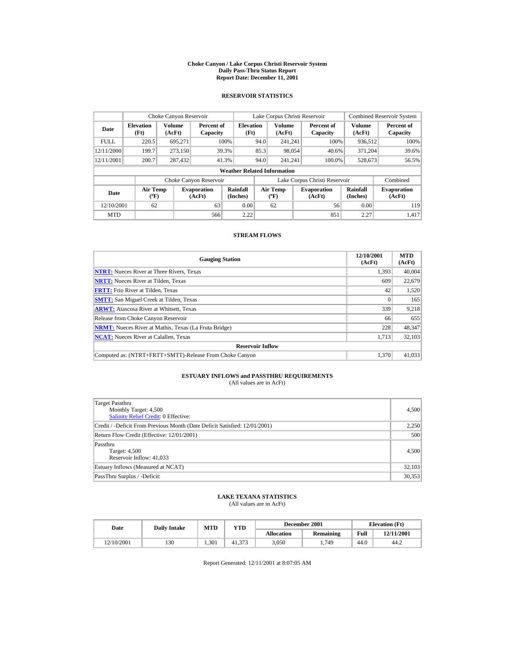#### **Choke Canyon / Lake Corpus Christi Reservoir System Daily Pass-Thru Status Report Report Date: December 11, 2001**

## **RESERVOIR STATISTICS**

|                                                                                     | Choke Canyon Reservoir |                      |                                          |                                    |      | Lake Corpus Christi Reservoir |                      |                               |                         | <b>Combined Reservoir System</b> |
|-------------------------------------------------------------------------------------|------------------------|----------------------|------------------------------------------|------------------------------------|------|-------------------------------|----------------------|-------------------------------|-------------------------|----------------------------------|
| <b>Elevation</b><br>Date<br>(AcFt)<br>(Ft)                                          |                        | Volume               | Percent of<br>Capacity                   | <b>Elevation</b><br>(Ft)           |      | <b>Volume</b><br>(AcFt)       |                      | Percent of<br>Capacity        | <b>Volume</b><br>(AcFt) | Percent of<br>Capacity           |
| <b>FULL</b>                                                                         | 220.5                  | 695,271              |                                          | 100%                               | 94.0 | 241.241                       |                      | 100%                          | 936.512                 | 100%                             |
| 12/11/2000                                                                          | 199.7                  | 273.150              |                                          | 39.3%                              | 85.3 |                               | 98.054<br>40.6%      |                               | 371.204                 | 39.6%                            |
| 12/11/2001                                                                          | 200.7                  | 287,432              |                                          | 41.3%                              | 94.0 | 241.241                       |                      | 100.0%                        | 528,673                 | 56.5%                            |
|                                                                                     |                        |                      |                                          | <b>Weather Related Information</b> |      |                               |                      |                               |                         |                                  |
|                                                                                     |                        |                      | Choke Canyon Reservoir                   |                                    |      |                               |                      | Lake Corpus Christi Reservoir |                         | Combined                         |
| <b>Air Temp</b><br><b>Evaporation</b><br>Date<br>$({}^{\circ}\mathrm{F})$<br>(AcFt) |                        | Rainfall<br>(Inches) | <b>Air Temp</b><br>$({}^{\circ}{\rm F})$ |                                    |      | <b>Evaporation</b><br>(AcFt)  | Rainfall<br>(Inches) | <b>Evaporation</b><br>(AcFt)  |                         |                                  |
| 12/10/2001<br>62<br>63                                                              |                        | 0.00                 |                                          | 62                                 |      | 56                            | 0.00                 | 119                           |                         |                                  |
| <b>MTD</b>                                                                          |                        |                      | 566                                      | 2.22                               |      |                               |                      | 851                           | 2.27                    | 1.417                            |

## **STREAM FLOWS**

| <b>Gauging Station</b>                                       | 12/10/2001<br>(AcFt) | <b>MTD</b><br>(AcFt) |
|--------------------------------------------------------------|----------------------|----------------------|
| <b>NTRT:</b> Nueces River at Three Rivers, Texas             | 1.393                | 40,004               |
| <b>NRTT:</b> Nueces River at Tilden, Texas                   | 609                  | 22,679               |
| <b>FRTT:</b> Frio River at Tilden, Texas                     | 42                   | 1,520                |
| <b>SMTT:</b> San Miguel Creek at Tilden, Texas               | $\Omega$             | 165                  |
| <b>ARWT:</b> Atascosa River at Whitsett, Texas               | 339                  | 9,218                |
| Release from Choke Canyon Reservoir                          | 66                   | 655                  |
| <b>NRMT:</b> Nueces River at Mathis, Texas (La Fruta Bridge) | 228                  | 48.347               |
| <b>NCAT:</b> Nueces River at Calallen, Texas                 | 1,713                | 32,103               |
| <b>Reservoir Inflow</b>                                      |                      |                      |
| Computed as: (NTRT+FRTT+SMTT)-Release From Choke Canyon      | 1.370                | 41,033               |

# **ESTUARY INFLOWS and PASSTHRU REQUIREMENTS**<br>(All values are in AcFt)

| Target Passthru<br>Monthly Target: 4,500<br><b>Salinity Relief Credit: 0 Effective:</b> | 4,500  |
|-----------------------------------------------------------------------------------------|--------|
| Credit / -Deficit From Previous Month (Date Deficit Satisfied: 12/01/2001)              | 2,250  |
| Return Flow Credit (Effective: 12/01/2001)                                              | 500    |
| Passthru<br>Target: 4,500<br>Reservoir Inflow: 41,033                                   | 4,500  |
| Estuary Inflows (Measured at NCAT)                                                      | 32,103 |
| PassThru Surplus / -Deficit:                                                            | 30,353 |

## **LAKE TEXANA STATISTICS**

(All values are in AcFt)

| Date       | <b>Daily Intake</b> | MTD   | VTD    |                   | December 2001 |      | <b>Elevation</b> (Ft) |
|------------|---------------------|-------|--------|-------------------|---------------|------|-----------------------|
|            |                     |       |        | <b>Allocation</b> | Remaining     | Full | 12/11/2001            |
| 12/10/2001 | 130                 | 1.301 | 41.373 | 3.050             | 1.749         | 44.0 | 44.2                  |

Report Generated: 12/11/2001 at 8:07:05 AM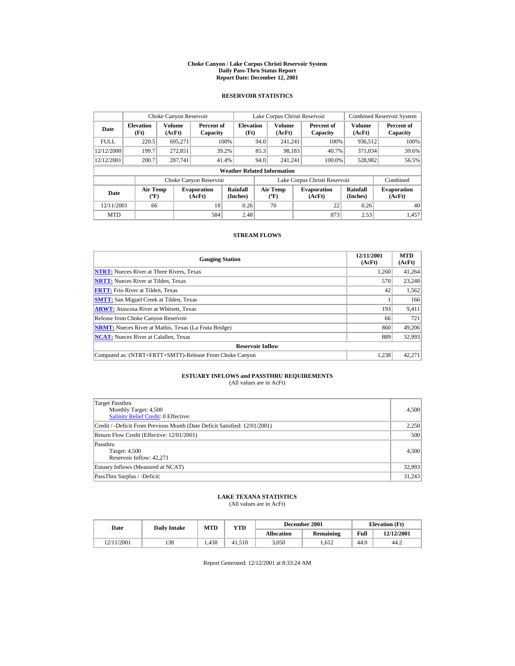#### **Choke Canyon / Lake Corpus Christi Reservoir System Daily Pass-Thru Status Report Report Date: December 12, 2001**

## **RESERVOIR STATISTICS**

|                                                     | Choke Canyon Reservoir |                              |                        |                                        |      |                              | Lake Corpus Christi Reservoir |                               |                              | <b>Combined Reservoir System</b> |  |                  |  |
|-----------------------------------------------------|------------------------|------------------------------|------------------------|----------------------------------------|------|------------------------------|-------------------------------|-------------------------------|------------------------------|----------------------------------|--|------------------|--|
| <b>Elevation</b><br>Date<br>(Ft)<br>(AcFt)          |                        | Volume                       | Capacity               | <b>Elevation</b><br>Percent of<br>(Ft) |      | <b>Volume</b><br>(AcFt)      |                               | Percent of<br>Capacity        | Volume<br>(AcFt)             | Percent of<br>Capacity           |  |                  |  |
| <b>FULL</b>                                         | 220.5                  | 695.271                      |                        | 100%                                   | 94.0 | 241.241                      |                               | 100%                          | 936,512                      | 100%                             |  |                  |  |
| 12/12/2000                                          | 199.7                  | 272.851                      |                        | 85.3<br>98.183<br>40.7%                |      | 39.2%                        |                               |                               |                              |                                  |  | 371,034<br>39.6% |  |
| 12/12/2001                                          | 200.7                  | 287,741                      |                        | 41.4%                                  | 94.0 | 241.241                      |                               | 100.0%                        | 528,982                      | 56.5%                            |  |                  |  |
|                                                     |                        |                              |                        | <b>Weather Related Information</b>     |      |                              |                               |                               |                              |                                  |  |                  |  |
|                                                     |                        |                              | Choke Canyon Reservoir |                                        |      |                              |                               | Lake Corpus Christi Reservoir |                              | Combined                         |  |                  |  |
| <b>Air Temp</b><br>Date<br>$({}^{\circ}\mathrm{F})$ |                        | <b>Evaporation</b><br>(AcFt) | Rainfall<br>(Inches)   | Air Temp<br>$({}^{\circ}{\rm F})$      |      | <b>Evaporation</b><br>(AcFt) |                               | Rainfall<br>(Inches)          | <b>Evaporation</b><br>(AcFt) |                                  |  |                  |  |
| 12/11/2001<br>18<br>66                              |                        | 0.26                         |                        | 70                                     |      | 22                           | 0.26                          | 40                            |                              |                                  |  |                  |  |
| <b>MTD</b>                                          |                        |                              | 584                    | 2.48                                   |      |                              |                               | 873                           | 2.53                         | 1.457                            |  |                  |  |

## **STREAM FLOWS**

| <b>Gauging Station</b>                                       | 12/11/2001<br>(AcFt) | <b>MTD</b><br>(AcFt) |
|--------------------------------------------------------------|----------------------|----------------------|
| <b>NTRT:</b> Nueces River at Three Rivers, Texas             | 1,260                | 41,264               |
| <b>NRTT:</b> Nueces River at Tilden, Texas                   | 570                  | 23.248               |
| <b>FRTT:</b> Frio River at Tilden, Texas                     | 42                   | 1,562                |
| <b>SMTT:</b> San Miguel Creek at Tilden, Texas               |                      | 166                  |
| <b>ARWT:</b> Atascosa River at Whitsett, Texas               | 193                  | 9,411                |
| Release from Choke Canyon Reservoir                          | 66                   | 721                  |
| <b>NRMT:</b> Nueces River at Mathis, Texas (La Fruta Bridge) | 860                  | 49.206               |
| <b>NCAT:</b> Nueces River at Calallen, Texas                 | 889                  | 32,993               |
| <b>Reservoir Inflow</b>                                      |                      |                      |
| Computed as: (NTRT+FRTT+SMTT)-Release From Choke Canyon      | 1.238                | 42,271               |

# **ESTUARY INFLOWS and PASSTHRU REQUIREMENTS**<br>(All values are in AcFt)

| Target Passthru<br>Monthly Target: 4,500<br>Salinity Relief Credit: 0 Effective: | 4,500  |
|----------------------------------------------------------------------------------|--------|
| Credit / -Deficit From Previous Month (Date Deficit Satisfied: 12/01/2001)       | 2,250  |
| Return Flow Credit (Effective: 12/01/2001)                                       | 500    |
| Passthru<br>Target: 4,500<br>Reservoir Inflow: 42.271                            | 4,500  |
| Estuary Inflows (Measured at NCAT)                                               | 32,993 |
| PassThru Surplus / -Deficit:                                                     | 31,243 |

## **LAKE TEXANA STATISTICS**

(All values are in AcFt)

| Date       | <b>Daily Intake</b> | MTD   | VTD    |            | December 2001 |      | <b>Elevation</b> (Ft) |
|------------|---------------------|-------|--------|------------|---------------|------|-----------------------|
|            |                     |       |        | Allocation | Remaining     | Full | 12/12/2001            |
| 12/11/2001 | 138                 | 1.438 | 41.510 | 3.050      | .612          | 44.0 | 44.2                  |

Report Generated: 12/12/2001 at 8:33:24 AM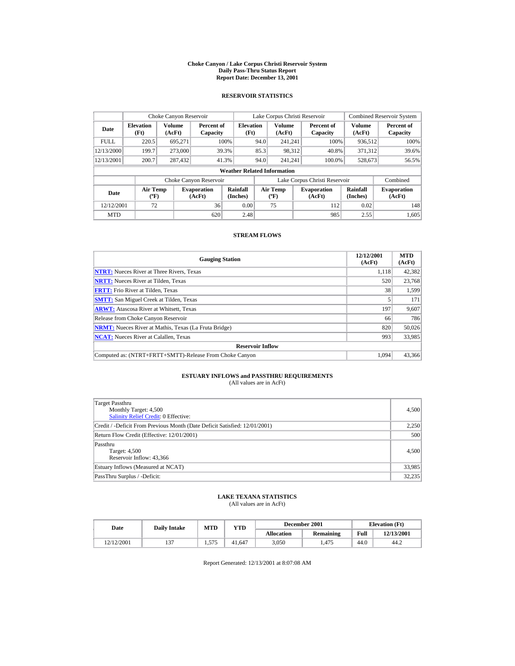#### **Choke Canyon / Lake Corpus Christi Reservoir System Daily Pass-Thru Status Report Report Date: December 13, 2001**

## **RESERVOIR STATISTICS**

|             | Choke Canyon Reservoir                      |                  |                              |                          | Lake Corpus Christi Reservoir |                                   |  |                               |                      | <b>Combined Reservoir System</b> |  |  |  |
|-------------|---------------------------------------------|------------------|------------------------------|--------------------------|-------------------------------|-----------------------------------|--|-------------------------------|----------------------|----------------------------------|--|--|--|
| Date        | <b>Elevation</b><br>(Ft)                    | Volume<br>(AcFt) | Percent of<br>Capacity       | <b>Elevation</b><br>(Ft) |                               | <b>Volume</b><br>(AcFt)           |  | Percent of<br>Capacity        | Volume<br>(AcFt)     | Percent of<br>Capacity           |  |  |  |
| <b>FULL</b> | 220.5                                       | 695.271          |                              | 100%                     | 94.0                          | 241.241                           |  | 100%                          | 936,512              | 100%                             |  |  |  |
| 12/13/2000  | 199.7                                       | 273,000          |                              | 39.3%                    | 85.3                          | 98.312                            |  | 40.8%                         | 371.312              | 39.6%                            |  |  |  |
| 12/13/2001  | 200.7                                       | 287,432          |                              | 41.3%                    | 94.0                          | 241.241                           |  | 100.0%                        | 528,673              | 56.5%                            |  |  |  |
|             | <b>Weather Related Information</b>          |                  |                              |                          |                               |                                   |  |                               |                      |                                  |  |  |  |
|             |                                             |                  | Choke Canyon Reservoir       |                          |                               |                                   |  | Lake Corpus Christi Reservoir |                      | Combined                         |  |  |  |
| Date        | <b>Air Temp</b><br>$({}^{\circ}\mathrm{F})$ |                  | <b>Evaporation</b><br>(AcFt) | Rainfall<br>(Inches)     |                               | Air Temp<br>$({}^{\circ}{\rm F})$ |  | <b>Evaporation</b><br>(AcFt)  | Rainfall<br>(Inches) | <b>Evaporation</b><br>(AcFt)     |  |  |  |
| 12/12/2001  | 72                                          |                  | 36                           | 0.00                     |                               | 75                                |  | 112                           | 0.02                 | 148                              |  |  |  |
| <b>MTD</b>  |                                             |                  | 620                          | 2.48                     |                               |                                   |  | 985                           | 2.55                 | 1.605                            |  |  |  |

## **STREAM FLOWS**

| <b>Gauging Station</b>                                       | 12/12/2001<br>(AcFt) | <b>MTD</b><br>(AcFt) |
|--------------------------------------------------------------|----------------------|----------------------|
| <b>NTRT:</b> Nueces River at Three Rivers, Texas             | 1.118                | 42,382               |
| <b>NRTT:</b> Nueces River at Tilden, Texas                   | 520                  | 23,768               |
| <b>FRTT:</b> Frio River at Tilden, Texas                     | 38                   | 1,599                |
| <b>SMTT:</b> San Miguel Creek at Tilden, Texas               |                      | 171                  |
| <b>ARWT:</b> Atascosa River at Whitsett, Texas               | 197                  | 9,607                |
| Release from Choke Canyon Reservoir                          | 66                   | 786                  |
| <b>NRMT:</b> Nueces River at Mathis, Texas (La Fruta Bridge) | 820                  | 50,026               |
| <b>NCAT:</b> Nueces River at Calallen, Texas                 | 993                  | 33,985               |
| <b>Reservoir Inflow</b>                                      |                      |                      |
| Computed as: (NTRT+FRTT+SMTT)-Release From Choke Canyon      | 1.094                | 43,366               |

# **ESTUARY INFLOWS and PASSTHRU REQUIREMENTS**<br>(All values are in AcFt)

| Target Passthru<br>Monthly Target: 4,500<br><b>Salinity Relief Credit: 0 Effective:</b> | 4,500  |
|-----------------------------------------------------------------------------------------|--------|
| Credit / -Deficit From Previous Month (Date Deficit Satisfied: 12/01/2001)              | 2,250  |
| Return Flow Credit (Effective: 12/01/2001)                                              | 500    |
| Passthru<br>Target: 4,500<br>Reservoir Inflow: 43,366                                   | 4,500  |
| Estuary Inflows (Measured at NCAT)                                                      | 33,985 |
| PassThru Surplus / -Deficit:                                                            | 32,235 |

## **LAKE TEXANA STATISTICS**

(All values are in AcFt)

| Date       | <b>Daily Intake</b> | <b>MTD</b> | $_{\rm VTD}$ |                   | December 2001 |      | <b>Elevation</b> (Ft) |
|------------|---------------------|------------|--------------|-------------------|---------------|------|-----------------------|
|            |                     |            |              | <b>Allocation</b> | Remaining     | Full | 12/13/2001            |
| 12/12/2001 | $\sim$              | 1.575      | 41.647       | 3.050             | .475          | 44.0 | 44.2                  |

Report Generated: 12/13/2001 at 8:07:08 AM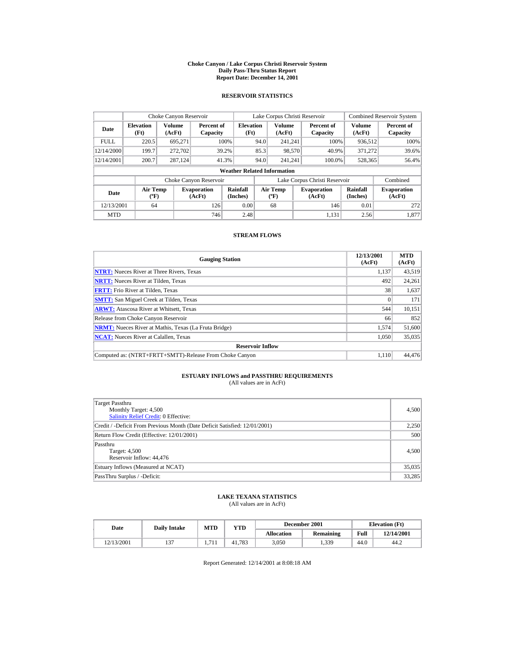#### **Choke Canyon / Lake Corpus Christi Reservoir System Daily Pass-Thru Status Report Report Date: December 14, 2001**

## **RESERVOIR STATISTICS**

|             | Choke Canyon Reservoir                      |                  |                              |                          | Lake Corpus Christi Reservoir |                                          |  |                               |                         | <b>Combined Reservoir System</b> |  |  |  |
|-------------|---------------------------------------------|------------------|------------------------------|--------------------------|-------------------------------|------------------------------------------|--|-------------------------------|-------------------------|----------------------------------|--|--|--|
| Date        | <b>Elevation</b><br>(Ft)                    | Volume<br>(AcFt) | Percent of<br>Capacity       | <b>Elevation</b><br>(Ft) |                               | <b>Volume</b><br>(AcFt)                  |  | Percent of<br>Capacity        | <b>Volume</b><br>(AcFt) | Percent of<br>Capacity           |  |  |  |
| <b>FULL</b> | 220.5                                       | 695.271          |                              | 100%                     | 94.0                          | 241.241                                  |  | 100%                          | 936.512                 | 100%                             |  |  |  |
| 12/14/2000  | 199.7                                       | 272,702          |                              | 39.2%                    | 85.3                          | 98,570                                   |  | 40.9%                         | 371.272                 | 39.6%                            |  |  |  |
| 12/14/2001  | 200.7                                       | 287.124          |                              | 41.3%                    | 94.0                          | 241.241                                  |  | 100.0%                        | 528,365                 | 56.4%                            |  |  |  |
|             | <b>Weather Related Information</b>          |                  |                              |                          |                               |                                          |  |                               |                         |                                  |  |  |  |
|             |                                             |                  | Choke Canyon Reservoir       |                          |                               |                                          |  | Lake Corpus Christi Reservoir |                         | Combined                         |  |  |  |
| Date        | <b>Air Temp</b><br>$({}^{\circ}\mathrm{F})$ |                  | <b>Evaporation</b><br>(AcFt) | Rainfall<br>(Inches)     |                               | <b>Air Temp</b><br>$({}^{\circ}{\rm F})$ |  | <b>Evaporation</b><br>(AcFt)  | Rainfall<br>(Inches)    | <b>Evaporation</b><br>(AcFt)     |  |  |  |
| 12/13/2001  | 64                                          |                  | 126                          | 0.00                     |                               | 68                                       |  | 146                           | 0.01                    | 272                              |  |  |  |
| <b>MTD</b>  |                                             |                  | 746                          | 2.48                     |                               |                                          |  | 1.131                         | 2.56                    | 1.877                            |  |  |  |

## **STREAM FLOWS**

| <b>Gauging Station</b>                                       | 12/13/2001<br>(AcFt) | <b>MTD</b><br>(AcFt) |
|--------------------------------------------------------------|----------------------|----------------------|
| <b>NTRT:</b> Nueces River at Three Rivers, Texas             | 1.137                | 43,519               |
| <b>NRTT:</b> Nueces River at Tilden, Texas                   | 492                  | 24,261               |
| <b>FRTT:</b> Frio River at Tilden, Texas                     | 38                   | 1,637                |
| <b>SMTT:</b> San Miguel Creek at Tilden, Texas               |                      | 171                  |
| <b>ARWT:</b> Atascosa River at Whitsett, Texas               | 544                  | 10,151               |
| Release from Choke Canyon Reservoir                          | 66                   | 852                  |
| <b>NRMT:</b> Nueces River at Mathis, Texas (La Fruta Bridge) | 1.574                | 51,600               |
| <b>NCAT:</b> Nueces River at Calallen, Texas                 | 1,050                | 35,035               |
| <b>Reservoir Inflow</b>                                      |                      |                      |
| Computed as: (NTRT+FRTT+SMTT)-Release From Choke Canyon      | 1.110                | 44,476               |

# **ESTUARY INFLOWS and PASSTHRU REQUIREMENTS**<br>(All values are in AcFt)

| Target Passthru<br>Monthly Target: 4,500<br><b>Salinity Relief Credit: 0 Effective:</b> | 4,500  |
|-----------------------------------------------------------------------------------------|--------|
| Credit / -Deficit From Previous Month (Date Deficit Satisfied: 12/01/2001)              | 2,250  |
| Return Flow Credit (Effective: 12/01/2001)                                              | 500    |
| Passthru<br>Target: 4,500<br>Reservoir Inflow: 44.476                                   | 4,500  |
| Estuary Inflows (Measured at NCAT)                                                      | 35,035 |
| PassThru Surplus / -Deficit:                                                            | 33,285 |

## **LAKE TEXANA STATISTICS**

(All values are in AcFt)

| Date       | <b>Daily Intake</b> | <b>MTD</b> | $_{\rm VTD}$ |                   | December 2001 |      | <b>Elevation</b> (Ft) |
|------------|---------------------|------------|--------------|-------------------|---------------|------|-----------------------|
|            |                     |            |              | <b>Allocation</b> | Remaining     | Full | 12/14/2001            |
| 12/13/2001 | $\sim$              |            | 41.783       | 3.050             | 1,339         | 44.0 | 44.2                  |

Report Generated: 12/14/2001 at 8:08:18 AM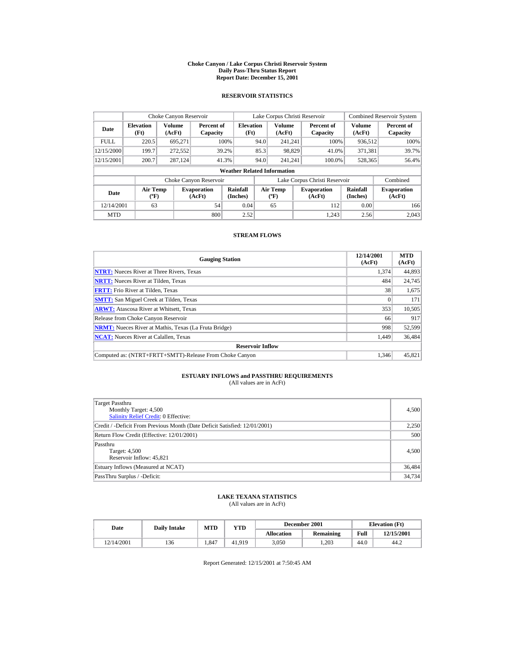#### **Choke Canyon / Lake Corpus Christi Reservoir System Daily Pass-Thru Status Report Report Date: December 15, 2001**

## **RESERVOIR STATISTICS**

|             | Choke Canyon Reservoir             |                         |                              |                          | Lake Corpus Christi Reservoir |                                  |  |                               |                             | <b>Combined Reservoir System</b> |  |  |  |
|-------------|------------------------------------|-------------------------|------------------------------|--------------------------|-------------------------------|----------------------------------|--|-------------------------------|-----------------------------|----------------------------------|--|--|--|
| Date        | <b>Elevation</b><br>(Ft)           | <b>Volume</b><br>(AcFt) | Percent of<br>Capacity       | <b>Elevation</b><br>(Ft) |                               | Volume<br>(AcFt)                 |  | Percent of<br>Capacity        | Volume<br>(AcFt)            | Percent of<br>Capacity           |  |  |  |
| <b>FULL</b> | 220.5                              | 695.271                 |                              | 100%                     | 94.0                          | 241.241                          |  | 100%                          | 936,512                     | 100%                             |  |  |  |
| 12/15/2000  | 199.7                              | 272,552                 |                              | 39.2%                    | 85.3                          | 98,829                           |  | 41.0%                         | 371.381                     | 39.7%                            |  |  |  |
| 12/15/2001  | 200.7                              | 287,124                 |                              | 41.3%                    | 94.0                          | 241.241                          |  | 100.0%                        | 528,365                     | 56.4%                            |  |  |  |
|             | <b>Weather Related Information</b> |                         |                              |                          |                               |                                  |  |                               |                             |                                  |  |  |  |
|             |                                    |                         | Choke Canyon Reservoir       |                          |                               |                                  |  | Lake Corpus Christi Reservoir |                             | Combined                         |  |  |  |
| Date        | <b>Air Temp</b><br>$(^{\circ}F)$   |                         | <b>Evaporation</b><br>(AcFt) | Rainfall<br>(Inches)     |                               | <b>Air Temp</b><br>$(^{\circ}F)$ |  | <b>Evaporation</b><br>(AcFt)  | <b>Rainfall</b><br>(Inches) | <b>Evaporation</b><br>(AcFt)     |  |  |  |
| 12/14/2001  | 63                                 |                         | 54                           | 0.04                     |                               | 65                               |  | 112                           | 0.00                        | 166                              |  |  |  |
| <b>MTD</b>  |                                    |                         | 800                          | 2.52                     |                               |                                  |  | 1.243                         | 2.56                        | 2.043                            |  |  |  |

## **STREAM FLOWS**

| <b>Gauging Station</b>                                       | 12/14/2001<br>(AcFt) | <b>MTD</b><br>(AcFt) |
|--------------------------------------------------------------|----------------------|----------------------|
| <b>NTRT:</b> Nueces River at Three Rivers, Texas             | 1,374                | 44,893               |
| <b>NRTT:</b> Nueces River at Tilden, Texas                   | 484                  | 24,745               |
| <b>FRTT:</b> Frio River at Tilden, Texas                     | 38                   | 1,675                |
| <b>SMTT:</b> San Miguel Creek at Tilden, Texas               |                      | 171                  |
| <b>ARWT:</b> Atascosa River at Whitsett, Texas               | 353                  | 10,505               |
| Release from Choke Canyon Reservoir                          | 66                   | 917                  |
| <b>NRMT:</b> Nueces River at Mathis, Texas (La Fruta Bridge) | 998                  | 52,599               |
| <b>NCAT:</b> Nueces River at Calallen, Texas                 | 1,449                | 36,484               |
| <b>Reservoir Inflow</b>                                      |                      |                      |
| Computed as: (NTRT+FRTT+SMTT)-Release From Choke Canyon      | 1.346                | 45,821               |

# **ESTUARY INFLOWS and PASSTHRU REQUIREMENTS**<br>(All values are in AcFt)

| Target Passthru<br>Monthly Target: 4,500<br><b>Salinity Relief Credit: 0 Effective:</b> | 4,500  |
|-----------------------------------------------------------------------------------------|--------|
| Credit / -Deficit From Previous Month (Date Deficit Satisfied: 12/01/2001)              | 2,250  |
| Return Flow Credit (Effective: 12/01/2001)                                              | 500    |
| Passthru<br>Target: 4,500<br>Reservoir Inflow: 45,821                                   | 4,500  |
| Estuary Inflows (Measured at NCAT)                                                      | 36,484 |
| PassThru Surplus / -Deficit:                                                            | 34,734 |

## **LAKE TEXANA STATISTICS**

(All values are in AcFt)

| Date       | <b>Daily Intake</b> | MTD  | $_{\rm VTD}$ |                   | December 2001 | <b>Elevation</b> (Ft) |            |
|------------|---------------------|------|--------------|-------------------|---------------|-----------------------|------------|
|            |                     |      |              | <b>Allocation</b> | Remaining     | Full                  | 12/15/2001 |
| 12/14/2001 | 136                 | .847 | 41.919       | 3.050             | .203          | 44.0                  | 44.2       |

Report Generated: 12/15/2001 at 7:50:45 AM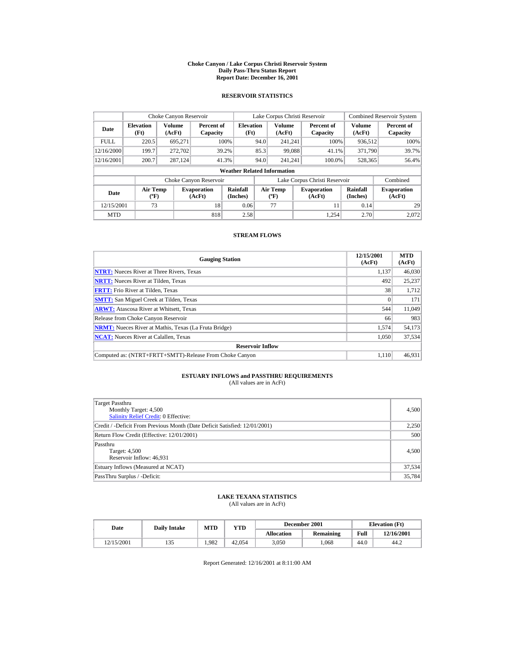#### **Choke Canyon / Lake Corpus Christi Reservoir System Daily Pass-Thru Status Report Report Date: December 16, 2001**

## **RESERVOIR STATISTICS**

|             | Choke Canyon Reservoir                |                         |                              |                          | Lake Corpus Christi Reservoir |                                                  |  |                               |                         | <b>Combined Reservoir System</b> |  |  |
|-------------|---------------------------------------|-------------------------|------------------------------|--------------------------|-------------------------------|--------------------------------------------------|--|-------------------------------|-------------------------|----------------------------------|--|--|
| Date        | <b>Elevation</b><br>(Ft)              | <b>Volume</b><br>(AcFt) | Percent of<br>Capacity       | <b>Elevation</b><br>(Ft) |                               | <b>Volume</b><br>(AcFt)                          |  | Percent of<br>Capacity        | <b>Volume</b><br>(AcFt) | Percent of<br>Capacity           |  |  |
| <b>FULL</b> | 220.5                                 | 695.271                 |                              | 100%                     | 94.0                          | 241.241                                          |  | 100%                          | 936,512                 | 100%                             |  |  |
| 12/16/2000  | 199.7                                 | 272,702                 |                              | 39.2%                    | 85.3                          | 99.088                                           |  | 41.1%                         | 371.790                 | 39.7%                            |  |  |
| 12/16/2001  | 200.7                                 | 287.124                 |                              | 41.3%                    | 94.0                          | 241.241                                          |  | 100.0%                        | 528,365                 | 56.4%                            |  |  |
|             | <b>Weather Related Information</b>    |                         |                              |                          |                               |                                                  |  |                               |                         |                                  |  |  |
|             |                                       |                         | Choke Canyon Reservoir       |                          |                               |                                                  |  | Lake Corpus Christi Reservoir |                         | Combined                         |  |  |
| Date        | <b>Air Temp</b><br>$({}^o\mathrm{F})$ |                         | <b>Evaporation</b><br>(AcFt) | Rainfall<br>(Inches)     |                               | <b>Air Temp</b><br>$({}^{\mathrm{o}}\mathrm{F})$ |  | <b>Evaporation</b><br>(AcFt)  | Rainfall<br>(Inches)    | <b>Evaporation</b><br>(AcFt)     |  |  |
| 12/15/2001  | 73                                    |                         | 18                           | 0.06                     |                               | 77                                               |  | 11                            | 0.14                    | 29                               |  |  |
| <b>MTD</b>  |                                       |                         | 818                          | 2.58                     |                               |                                                  |  | 1.254                         | 2.70                    | 2.072                            |  |  |

## **STREAM FLOWS**

| <b>Gauging Station</b>                                       | 12/15/2001<br>(AcFt) | <b>MTD</b><br>(AcFt) |
|--------------------------------------------------------------|----------------------|----------------------|
| <b>NTRT:</b> Nueces River at Three Rivers, Texas             | 1.137                | 46,030               |
| <b>NRTT:</b> Nueces River at Tilden, Texas                   | 492                  | 25,237               |
| <b>FRTT:</b> Frio River at Tilden, Texas                     | 38                   | 1,712                |
| <b>SMTT:</b> San Miguel Creek at Tilden, Texas               |                      | 171                  |
| <b>ARWT:</b> Atascosa River at Whitsett, Texas               | 544                  | 11,049               |
| Release from Choke Canyon Reservoir                          | 66                   | 983                  |
| <b>NRMT:</b> Nueces River at Mathis, Texas (La Fruta Bridge) | 1.574                | 54,173               |
| <b>NCAT:</b> Nueces River at Calallen, Texas                 | 1,050                | 37.534               |
| <b>Reservoir Inflow</b>                                      |                      |                      |
| Computed as: (NTRT+FRTT+SMTT)-Release From Choke Canyon      | 1.110                | 46,931               |

# **ESTUARY INFLOWS and PASSTHRU REQUIREMENTS**<br>(All values are in AcFt)

| Target Passthru<br>Monthly Target: 4,500<br><b>Salinity Relief Credit: 0 Effective:</b> | 4,500  |
|-----------------------------------------------------------------------------------------|--------|
| Credit / -Deficit From Previous Month (Date Deficit Satisfied: 12/01/2001)              | 2,250  |
| Return Flow Credit (Effective: 12/01/2001)                                              | 500    |
| Passthru<br>Target: 4,500<br>Reservoir Inflow: 46,931                                   | 4,500  |
| Estuary Inflows (Measured at NCAT)                                                      | 37,534 |
| PassThru Surplus / -Deficit:                                                            | 35,784 |

## **LAKE TEXANA STATISTICS**

(All values are in AcFt)

| Date       | <b>Daily Intake</b> | <b>MTD</b> | $_{\rm VTD}$ |                   | December 2001 | <b>Elevation</b> (Ft) |            |
|------------|---------------------|------------|--------------|-------------------|---------------|-----------------------|------------|
|            |                     |            |              | <b>Allocation</b> | Remaining     | Full                  | 12/16/2001 |
| 12/15/2001 | 135                 | .982       | 42,054       | 3.050             | .068          | 44.0                  | 44.2       |

Report Generated: 12/16/2001 at 8:11:00 AM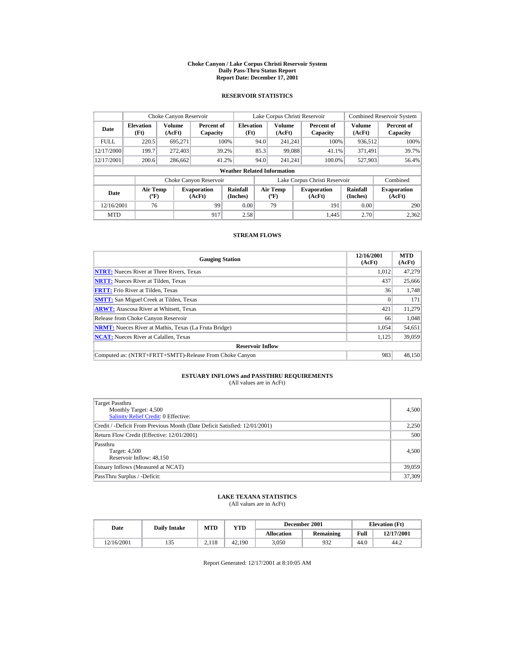#### **Choke Canyon / Lake Corpus Christi Reservoir System Daily Pass-Thru Status Report Report Date: December 17, 2001**

## **RESERVOIR STATISTICS**

|             | Choke Canyon Reservoir                      |                  |                              |                          | Lake Corpus Christi Reservoir |                                   |  |                               |                      | <b>Combined Reservoir System</b> |  |  |
|-------------|---------------------------------------------|------------------|------------------------------|--------------------------|-------------------------------|-----------------------------------|--|-------------------------------|----------------------|----------------------------------|--|--|
| Date        | <b>Elevation</b><br>(Ft)                    | Volume<br>(AcFt) | Percent of<br>Capacity       | <b>Elevation</b><br>(Ft) |                               | <b>Volume</b><br>(AcFt)           |  | Percent of<br>Capacity        | Volume<br>(AcFt)     | Percent of<br>Capacity           |  |  |
| <b>FULL</b> | 220.5                                       | 695.271          |                              | 100%                     | 94.0                          | 241.241                           |  | 100%                          | 936,512              | 100%                             |  |  |
| 12/17/2000  | 199.7                                       | 272,403          |                              | 39.2%                    | 85.3                          | 99.088                            |  | 41.1%                         | 371.491              | 39.7%                            |  |  |
| 12/17/2001  | 200.6                                       | 286,662          |                              | 41.2%                    | 94.0                          | 241.241                           |  | 100.0%                        | 527,903              | 56.4%                            |  |  |
|             | <b>Weather Related Information</b>          |                  |                              |                          |                               |                                   |  |                               |                      |                                  |  |  |
|             |                                             |                  | Choke Canyon Reservoir       |                          |                               |                                   |  | Lake Corpus Christi Reservoir |                      | Combined                         |  |  |
| Date        | <b>Air Temp</b><br>$({}^{\circ}\mathrm{F})$ |                  | <b>Evaporation</b><br>(AcFt) | Rainfall<br>(Inches)     |                               | Air Temp<br>$({}^{\circ}{\rm F})$ |  | <b>Evaporation</b><br>(AcFt)  | Rainfall<br>(Inches) | <b>Evaporation</b><br>(AcFt)     |  |  |
| 12/16/2001  | 76                                          |                  | 99                           | 0.00                     |                               | 79                                |  | 191                           | 0.00                 | 290                              |  |  |
| <b>MTD</b>  |                                             |                  | 917                          | 2.58                     |                               |                                   |  | 1.445                         | 2.70                 | 2.362                            |  |  |

## **STREAM FLOWS**

| <b>Gauging Station</b>                                       | 12/16/2001<br>(AcFt) | <b>MTD</b><br>(AcFt) |
|--------------------------------------------------------------|----------------------|----------------------|
| <b>NTRT:</b> Nueces River at Three Rivers, Texas             | 1.012                | 47.279               |
| <b>NRTT:</b> Nueces River at Tilden, Texas                   | 437                  | 25,666               |
| <b>FRTT:</b> Frio River at Tilden, Texas                     | 36                   | 1,748                |
| <b>SMTT:</b> San Miguel Creek at Tilden, Texas               | $\Omega$             | 171                  |
| <b>ARWT:</b> Atascosa River at Whitsett, Texas               | 421                  | 11,279               |
| Release from Choke Canyon Reservoir                          | 66                   | 1.048                |
| <b>NRMT:</b> Nueces River at Mathis, Texas (La Fruta Bridge) | 1.054                | 54,651               |
| <b>NCAT:</b> Nueces River at Calallen, Texas                 | 1,125                | 39,059               |
| <b>Reservoir Inflow</b>                                      |                      |                      |
| Computed as: (NTRT+FRTT+SMTT)-Release From Choke Canyon      | 983                  | 48,150               |

# **ESTUARY INFLOWS and PASSTHRU REQUIREMENTS**<br>(All values are in AcFt)

| Target Passthru<br>Monthly Target: 4,500<br>Salinity Relief Credit: 0 Effective: | 4,500  |
|----------------------------------------------------------------------------------|--------|
| Credit / -Deficit From Previous Month (Date Deficit Satisfied: 12/01/2001)       | 2,250  |
| Return Flow Credit (Effective: 12/01/2001)                                       | 500    |
| Passthru<br>Target: 4,500<br>Reservoir Inflow: 48,150                            | 4,500  |
| Estuary Inflows (Measured at NCAT)                                               | 39,059 |
| PassThru Surplus / -Deficit:                                                     | 37,309 |

## **LAKE TEXANA STATISTICS**

(All values are in AcFt)

| Date       | <b>Daily Intake</b> | <b>MTD</b> | YTD    |                   | December 2001 | <b>Elevation</b> (Ft) |            |
|------------|---------------------|------------|--------|-------------------|---------------|-----------------------|------------|
|            |                     |            |        | <b>Allocation</b> | Remaining     | Full                  | 12/17/2001 |
| 12/16/2001 | 133                 | 2.118      | 42.190 | 3.050             | 932           | 44.0                  | 44.2       |

Report Generated: 12/17/2001 at 8:10:05 AM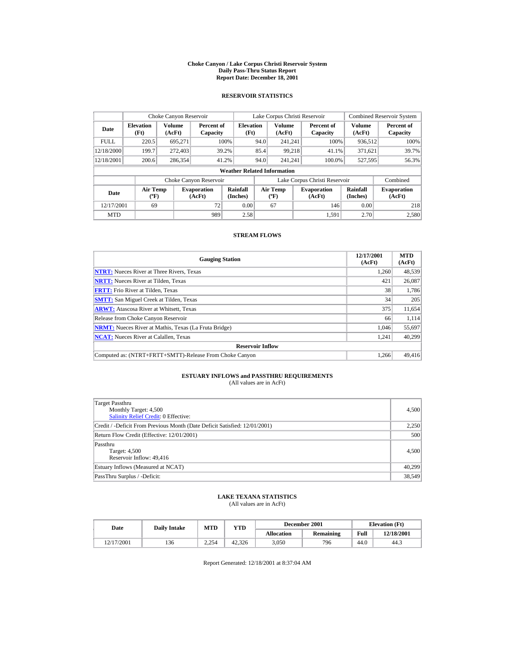#### **Choke Canyon / Lake Corpus Christi Reservoir System Daily Pass-Thru Status Report Report Date: December 18, 2001**

## **RESERVOIR STATISTICS**

|             | Choke Canyon Reservoir                      |                  |                              |                          | Lake Corpus Christi Reservoir    |                         |  |                               |                      | <b>Combined Reservoir System</b> |  |  |
|-------------|---------------------------------------------|------------------|------------------------------|--------------------------|----------------------------------|-------------------------|--|-------------------------------|----------------------|----------------------------------|--|--|
| Date        | <b>Elevation</b><br>(Ft)                    | Volume<br>(AcFt) | Percent of<br>Capacity       | <b>Elevation</b><br>(Ft) |                                  | <b>Volume</b><br>(AcFt) |  | Percent of<br>Capacity        | Volume<br>(AcFt)     | Percent of<br>Capacity           |  |  |
| <b>FULL</b> | 220.5                                       | 695.271          |                              | 100%                     | 94.0                             | 241.241                 |  | 100%                          | 936,512              | 100%                             |  |  |
| 12/18/2000  | 199.7                                       | 272,403          |                              | 39.2%                    | 85.4                             | 99.218                  |  | 41.1%                         | 371,621              | 39.7%                            |  |  |
| 12/18/2001  | 200.6                                       | 286,354          |                              | 41.2%                    | 94.0                             | 241.241                 |  | 100.0%                        | 527,595              | 56.3%                            |  |  |
|             | <b>Weather Related Information</b>          |                  |                              |                          |                                  |                         |  |                               |                      |                                  |  |  |
|             |                                             |                  | Choke Canyon Reservoir       |                          |                                  |                         |  | Lake Corpus Christi Reservoir |                      | Combined                         |  |  |
| Date        | <b>Air Temp</b><br>$({}^{\circ}\mathrm{F})$ |                  | <b>Evaporation</b><br>(AcFt) | Rainfall<br>(Inches)     | Air Temp<br>$(^{\circ}\text{F})$ |                         |  | <b>Evaporation</b><br>(AcFt)  | Rainfall<br>(Inches) | <b>Evaporation</b><br>(AcFt)     |  |  |
| 12/17/2001  | 69                                          |                  | 72                           | 0.00                     |                                  | 67                      |  | 146                           | 0.00                 | 218                              |  |  |
| <b>MTD</b>  |                                             |                  | 989                          | 2.58                     |                                  |                         |  | 1.591                         | 2.70                 | 2.580                            |  |  |

## **STREAM FLOWS**

| <b>Gauging Station</b>                                       | 12/17/2001<br>(AcFt) | <b>MTD</b><br>(AcFt) |
|--------------------------------------------------------------|----------------------|----------------------|
| <b>NTRT:</b> Nueces River at Three Rivers, Texas             | 1.260                | 48,539               |
| <b>NRTT:</b> Nueces River at Tilden, Texas                   | 421                  | 26,087               |
| <b>FRTT:</b> Frio River at Tilden, Texas                     | 38                   | 1.786                |
| <b>SMTT:</b> San Miguel Creek at Tilden, Texas               | 34                   | 205                  |
| <b>ARWT:</b> Atascosa River at Whitsett, Texas               | 375                  | 11,654               |
| Release from Choke Canyon Reservoir                          | 66                   | 1,114                |
| <b>NRMT:</b> Nueces River at Mathis, Texas (La Fruta Bridge) | 1.046                | 55,697               |
| <b>NCAT:</b> Nueces River at Calallen, Texas                 | 1,241                | 40,299               |
| <b>Reservoir Inflow</b>                                      |                      |                      |
| Computed as: (NTRT+FRTT+SMTT)-Release From Choke Canyon      | 1.266                | 49,416               |

# **ESTUARY INFLOWS and PASSTHRU REQUIREMENTS**<br>(All values are in AcFt)

| Target Passthru<br>Monthly Target: 4,500<br>Salinity Relief Credit: 0 Effective: | 4,500  |
|----------------------------------------------------------------------------------|--------|
| Credit / -Deficit From Previous Month (Date Deficit Satisfied: 12/01/2001)       | 2,250  |
| Return Flow Credit (Effective: 12/01/2001)                                       | 500    |
| Passthru<br>Target: 4,500<br>Reservoir Inflow: 49.416                            | 4,500  |
| Estuary Inflows (Measured at NCAT)                                               | 40,299 |
| PassThru Surplus / -Deficit:                                                     | 38,549 |

## **LAKE TEXANA STATISTICS**

(All values are in AcFt)

| Date       | <b>Daily Intake</b> | <b>MTD</b> | $_{\rm VTD}$ |                   | December 2001 | <b>Elevation</b> (Ft) |            |
|------------|---------------------|------------|--------------|-------------------|---------------|-----------------------|------------|
|            |                     |            |              | <b>Allocation</b> | Remaining     | Full                  | 12/18/2001 |
| 12/17/2001 | 136                 | 2.254      | 42.326       | 3.050             | 796           | 44.0                  | 44.3       |

Report Generated: 12/18/2001 at 8:37:04 AM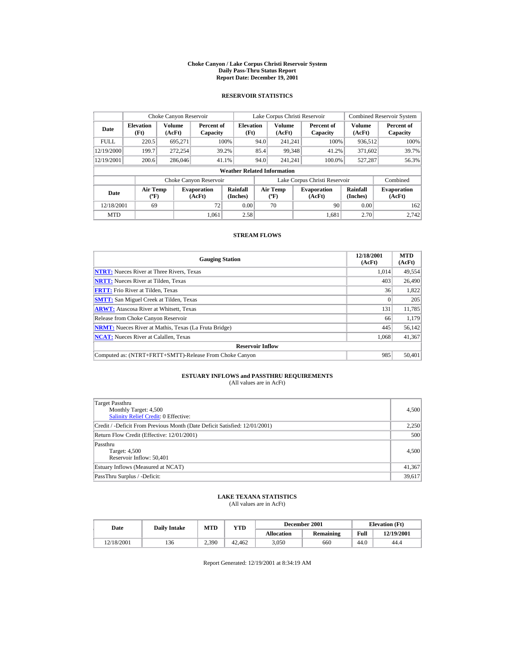#### **Choke Canyon / Lake Corpus Christi Reservoir System Daily Pass-Thru Status Report Report Date: December 19, 2001**

## **RESERVOIR STATISTICS**

|             | Choke Canyon Reservoir                      |                         |                              |                          | Lake Corpus Christi Reservoir |                                   |  |                               |                      | <b>Combined Reservoir System</b> |  |  |  |
|-------------|---------------------------------------------|-------------------------|------------------------------|--------------------------|-------------------------------|-----------------------------------|--|-------------------------------|----------------------|----------------------------------|--|--|--|
| Date        | <b>Elevation</b><br>(Ft)                    | <b>Volume</b><br>(AcFt) | Percent of<br>Capacity       | <b>Elevation</b><br>(Ft) |                               | <b>Volume</b><br>(AcFt)           |  | Percent of<br>Capacity        | Volume<br>(AcFt)     | Percent of<br>Capacity           |  |  |  |
| <b>FULL</b> | 220.5                                       | 695.271                 |                              | 100%                     | 94.0                          | 241.241                           |  | 100%                          | 936,512              | 100%                             |  |  |  |
| 12/19/2000  | 199.7                                       | 272,254                 |                              | 39.2%                    | 85.4                          | 99.348                            |  | 41.2%                         | 371,602              | 39.7%                            |  |  |  |
| 12/19/2001  | 200.6                                       | 286,046                 |                              | 41.1%                    | 94.0                          | 241.241                           |  | 100.0%                        | 527,287              | 56.3%                            |  |  |  |
|             | <b>Weather Related Information</b>          |                         |                              |                          |                               |                                   |  |                               |                      |                                  |  |  |  |
|             |                                             |                         | Choke Canyon Reservoir       |                          |                               |                                   |  | Lake Corpus Christi Reservoir |                      | Combined                         |  |  |  |
| Date        | <b>Air Temp</b><br>$({}^{\circ}\mathrm{F})$ |                         | <b>Evaporation</b><br>(AcFt) | Rainfall<br>(Inches)     |                               | Air Temp<br>$({}^{\circ}{\rm F})$ |  | <b>Evaporation</b><br>(AcFt)  | Rainfall<br>(Inches) | <b>Evaporation</b><br>(AcFt)     |  |  |  |
| 12/18/2001  | 69                                          |                         | 72                           | 0.00                     |                               | 70                                |  | 90                            | 0.00                 | 162                              |  |  |  |
| <b>MTD</b>  |                                             |                         | 1.061                        | 2.58                     |                               |                                   |  | 1.681                         | 2.70                 | 2.742                            |  |  |  |

## **STREAM FLOWS**

| <b>Gauging Station</b>                                       | 12/18/2001<br>(AcFt) | <b>MTD</b><br>(AcFt) |
|--------------------------------------------------------------|----------------------|----------------------|
| <b>NTRT:</b> Nueces River at Three Rivers, Texas             | 1.014                | 49,554               |
| <b>NRTT:</b> Nueces River at Tilden, Texas                   | 403                  | 26,490               |
| <b>FRTT:</b> Frio River at Tilden, Texas                     | 36                   | 1,822                |
| <b>SMTT:</b> San Miguel Creek at Tilden, Texas               |                      | 205                  |
| <b>ARWT:</b> Atascosa River at Whitsett, Texas               | 131                  | 11,785               |
| Release from Choke Canyon Reservoir                          | 66                   | 1,179                |
| <b>NRMT:</b> Nueces River at Mathis, Texas (La Fruta Bridge) | 445                  | 56,142               |
| <b>NCAT:</b> Nueces River at Calallen, Texas                 | 1,068                | 41,367               |
| <b>Reservoir Inflow</b>                                      |                      |                      |
| Computed as: (NTRT+FRTT+SMTT)-Release From Choke Canyon      | 985                  | 50,401               |

# **ESTUARY INFLOWS and PASSTHRU REQUIREMENTS**<br>(All values are in AcFt)

| Target Passthru<br>Monthly Target: 4,500<br><b>Salinity Relief Credit: 0 Effective:</b> | 4,500  |
|-----------------------------------------------------------------------------------------|--------|
| Credit / -Deficit From Previous Month (Date Deficit Satisfied: 12/01/2001)              | 2,250  |
| Return Flow Credit (Effective: 12/01/2001)                                              | 500    |
| Passthru<br>Target: 4,500<br>Reservoir Inflow: 50,401                                   | 4,500  |
| Estuary Inflows (Measured at NCAT)                                                      | 41,367 |
| PassThru Surplus / -Deficit:                                                            | 39,617 |

## **LAKE TEXANA STATISTICS**

(All values are in AcFt)

| Date       | <b>Daily Intake</b> | <b>MTD</b><br>$_{\rm VTD}$ |        |                   | December 2001 | <b>Elevation</b> (Ft) |            |
|------------|---------------------|----------------------------|--------|-------------------|---------------|-----------------------|------------|
|            |                     |                            |        | <b>Allocation</b> | Remaining     | Full                  | 12/19/2001 |
| 12/18/2001 | 136                 | 2.390                      | 42.462 | 3.050             | 660           | 44.0                  | 44.4       |

Report Generated: 12/19/2001 at 8:34:19 AM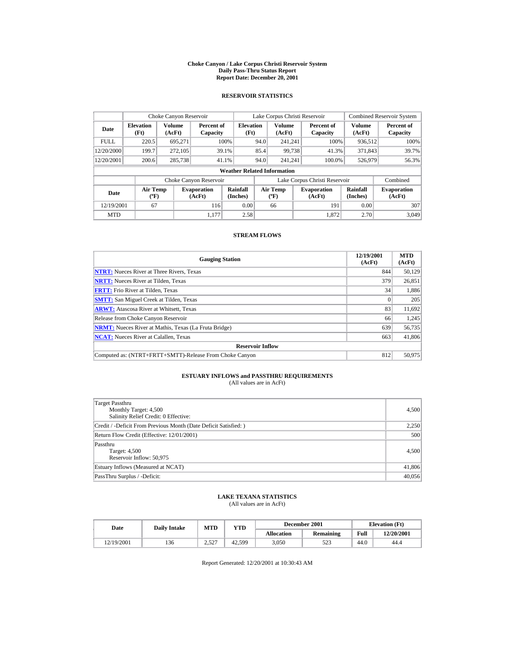#### **Choke Canyon / Lake Corpus Christi Reservoir System Daily Pass-Thru Status Report Report Date: December 20, 2001**

## **RESERVOIR STATISTICS**

|             | Choke Canyon Reservoir                      |                  |                              |                          | Lake Corpus Christi Reservoir |                                          |  |                               |                      | <b>Combined Reservoir System</b> |  |  |
|-------------|---------------------------------------------|------------------|------------------------------|--------------------------|-------------------------------|------------------------------------------|--|-------------------------------|----------------------|----------------------------------|--|--|
| Date        | <b>Elevation</b><br>(Ft)                    | Volume<br>(AcFt) | Percent of<br>Capacity       | <b>Elevation</b><br>(Ft) |                               | <b>Volume</b><br>(AcFt)                  |  | Percent of<br>Capacity        | Volume<br>(AcFt)     | Percent of<br>Capacity           |  |  |
| <b>FULL</b> | 220.5                                       | 695.271          |                              | 100%                     | 94.0                          | 241.241                                  |  | 100%                          | 936,512              | 100%                             |  |  |
| 12/20/2000  | 199.7                                       | 272,105          |                              | 39.1%                    | 85.4                          | 99.738                                   |  | 41.3%                         | 371,843              | 39.7%                            |  |  |
| 12/20/2001  | 200.6                                       | 285,738          |                              | 41.1%                    | 94.0                          | 241.241                                  |  | 100.0%                        | 526,979              | 56.3%                            |  |  |
|             | <b>Weather Related Information</b>          |                  |                              |                          |                               |                                          |  |                               |                      |                                  |  |  |
|             |                                             |                  | Choke Canyon Reservoir       |                          |                               |                                          |  | Lake Corpus Christi Reservoir |                      | Combined                         |  |  |
| Date        | <b>Air Temp</b><br>$({}^{\circ}\mathrm{F})$ |                  | <b>Evaporation</b><br>(AcFt) | Rainfall<br>(Inches)     |                               | <b>Air Temp</b><br>$({}^{\circ}{\rm F})$ |  | <b>Evaporation</b><br>(AcFt)  | Rainfall<br>(Inches) | <b>Evaporation</b><br>(AcFt)     |  |  |
| 12/19/2001  | 67                                          |                  | 116                          | 0.00                     |                               | 66                                       |  | 191                           | 0.00                 | 307                              |  |  |
| <b>MTD</b>  |                                             |                  | 1.177                        | 2.58                     |                               |                                          |  | 1.872                         | 2.70                 | 3.049                            |  |  |

## **STREAM FLOWS**

| <b>Gauging Station</b>                                       | 12/19/2001<br>(AcFt) | <b>MTD</b><br>(AcFt) |
|--------------------------------------------------------------|----------------------|----------------------|
| <b>NTRT:</b> Nueces River at Three Rivers, Texas             | 844                  | 50,129               |
| <b>NRTT:</b> Nueces River at Tilden, Texas                   | 379                  | 26,851               |
| <b>FRTT:</b> Frio River at Tilden, Texas                     | 34                   | 1,886                |
| <b>SMTT:</b> San Miguel Creek at Tilden, Texas               |                      | 205                  |
| <b>ARWT:</b> Atascosa River at Whitsett, Texas               | 83                   | 11,692               |
| Release from Choke Canyon Reservoir                          | 66                   | 1,245                |
| <b>NRMT:</b> Nueces River at Mathis, Texas (La Fruta Bridge) | 639                  | 56,735               |
| <b>NCAT:</b> Nueces River at Calallen, Texas                 | 663                  | 41,806               |
| <b>Reservoir Inflow</b>                                      |                      |                      |
| Computed as: (NTRT+FRTT+SMTT)-Release From Choke Canyon      | 812                  | 50,975               |

# **ESTUARY INFLOWS and PASSTHRU REQUIREMENTS**<br>(All values are in AcFt)

| Target Passthru<br>Monthly Target: 4,500<br>Salinity Relief Credit: 0 Effective: | 4,500  |
|----------------------------------------------------------------------------------|--------|
| Credit / -Deficit From Previous Month (Date Deficit Satisfied:)                  | 2,250  |
| Return Flow Credit (Effective: 12/01/2001)                                       | 500    |
| Passthru<br>Target: 4,500<br>Reservoir Inflow: 50,975                            | 4,500  |
| Estuary Inflows (Measured at NCAT)                                               | 41,806 |
| PassThru Surplus / -Deficit:                                                     | 40,056 |

## **LAKE TEXANA STATISTICS**

(All values are in AcFt)

| Date       | <b>Daily Intake</b> | <b>MTD</b>    | $_{\rm VTD}$ |                   | December 2001 | <b>Elevation</b> (Ft) |            |
|------------|---------------------|---------------|--------------|-------------------|---------------|-----------------------|------------|
|            |                     |               |              | <b>Allocation</b> | Remaining     | Full                  | 12/20/2001 |
| 12/19/2001 | 136                 | 2.527<br>2.JL | 42.599       | 3.050             | 523           | 44.0                  | 44.4       |

Report Generated: 12/20/2001 at 10:30:43 AM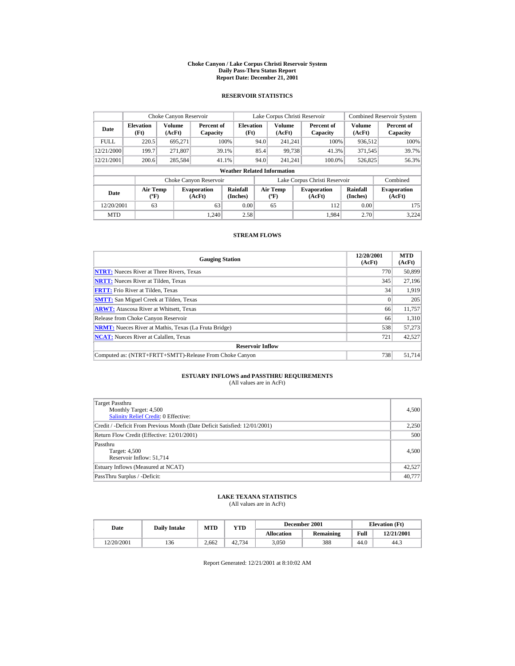#### **Choke Canyon / Lake Corpus Christi Reservoir System Daily Pass-Thru Status Report Report Date: December 21, 2001**

## **RESERVOIR STATISTICS**

|             | Choke Canyon Reservoir             |                  |                              |                          | Lake Corpus Christi Reservoir |                                                                  |  |                               |                              | <b>Combined Reservoir System</b> |  |  |
|-------------|------------------------------------|------------------|------------------------------|--------------------------|-------------------------------|------------------------------------------------------------------|--|-------------------------------|------------------------------|----------------------------------|--|--|
| Date        | <b>Elevation</b><br>(Ft)           | Volume<br>(AcFt) | Percent of<br>Capacity       | <b>Elevation</b><br>(Ft) |                               | Volume<br>(AcFt)                                                 |  | Percent of<br>Capacity        | Volume<br>(AcFt)             | Percent of<br>Capacity           |  |  |
| <b>FULL</b> | 220.5                              | 695.271          |                              | 100%                     | 94.0                          | 241.241                                                          |  | 100%                          | 936,512                      | 100%                             |  |  |
| 12/21/2000  | 199.7                              | 271.807          |                              | 39.1%                    | 85.4                          | 99.738                                                           |  | 41.3%                         | 371,545                      | 39.7%                            |  |  |
| 12/21/2001  | 200.6                              | 285,584          |                              | 41.1%                    | 94.0                          | 241.241                                                          |  | 100.0%                        | 526,825                      | 56.3%                            |  |  |
|             | <b>Weather Related Information</b> |                  |                              |                          |                               |                                                                  |  |                               |                              |                                  |  |  |
|             |                                    |                  | Choke Canyon Reservoir       |                          |                               |                                                                  |  | Lake Corpus Christi Reservoir |                              | Combined                         |  |  |
| <b>Date</b> | <b>Air Temp</b><br>$(^{\circ}F)$   |                  | <b>Evaporation</b><br>(AcFt) | Rainfall<br>(Inches)     |                               | <b>Air Temp</b><br><b>Evaporation</b><br>$(^{\circ}F)$<br>(AcFt) |  | <b>Rainfall</b><br>(Inches)   | <b>Evaporation</b><br>(AcFt) |                                  |  |  |
| 12/20/2001  | 63                                 |                  | 63                           | 0.00                     |                               | 65                                                               |  | 112                           | 0.00                         | 175                              |  |  |
| <b>MTD</b>  |                                    |                  | 1.240                        | 2.58                     |                               |                                                                  |  | 1.984                         | 2.70                         | 3.224                            |  |  |

## **STREAM FLOWS**

| <b>Gauging Station</b>                                       | 12/20/2001<br>(AcFt) | <b>MTD</b><br>(AcFt) |
|--------------------------------------------------------------|----------------------|----------------------|
| <b>NTRT:</b> Nueces River at Three Rivers, Texas             | 770                  | 50.899               |
| <b>NRTT:</b> Nueces River at Tilden, Texas                   | 345                  | 27,196               |
| <b>FRTT:</b> Frio River at Tilden, Texas                     | 34                   | 1,919                |
| <b>SMTT:</b> San Miguel Creek at Tilden, Texas               |                      | 205                  |
| <b>ARWT:</b> Atascosa River at Whitsett, Texas               | 66                   | 11,757               |
| Release from Choke Canyon Reservoir                          | 66                   | 1,310                |
| <b>NRMT:</b> Nueces River at Mathis, Texas (La Fruta Bridge) | 538                  | 57,273               |
| <b>NCAT:</b> Nueces River at Calallen, Texas                 | 721                  | 42,527               |
| <b>Reservoir Inflow</b>                                      |                      |                      |
| Computed as: (NTRT+FRTT+SMTT)-Release From Choke Canyon      | 738                  | 51,714               |

# **ESTUARY INFLOWS and PASSTHRU REQUIREMENTS**<br>(All values are in AcFt)

| Target Passthru<br>Monthly Target: 4,500<br><b>Salinity Relief Credit: 0 Effective:</b> | 4,500  |
|-----------------------------------------------------------------------------------------|--------|
| Credit / -Deficit From Previous Month (Date Deficit Satisfied: 12/01/2001)              | 2,250  |
| Return Flow Credit (Effective: 12/01/2001)                                              | 500    |
| Passthru<br>Target: 4,500<br>Reservoir Inflow: 51,714                                   | 4,500  |
| Estuary Inflows (Measured at NCAT)                                                      | 42,527 |
| PassThru Surplus / -Deficit:                                                            | 40,777 |

## **LAKE TEXANA STATISTICS**

(All values are in AcFt)

| Date       | <b>Daily Intake</b> | <b>MTD</b><br>VTD |        |                   | December 2001 | <b>Elevation</b> (Ft) |            |
|------------|---------------------|-------------------|--------|-------------------|---------------|-----------------------|------------|
|            |                     |                   |        | <b>Allocation</b> | Remaining     | Full                  | 12/21/2001 |
| 12/20/2001 | 136                 | 2.662             | 42.734 | 3.050             | 388           | 44.0                  | 44.3       |

Report Generated: 12/21/2001 at 8:10:02 AM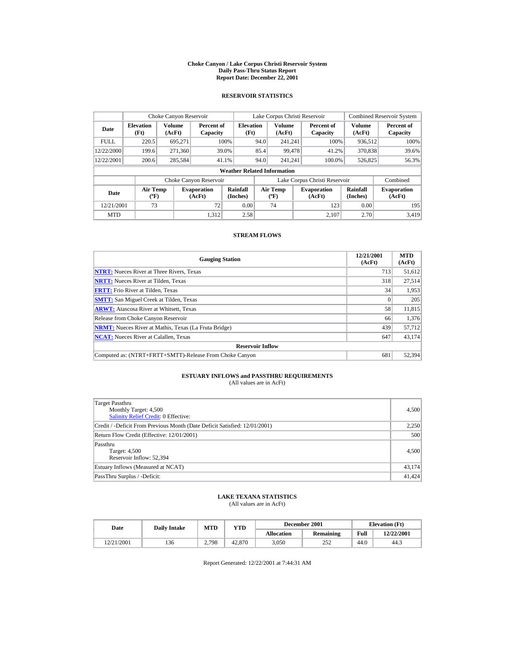#### **Choke Canyon / Lake Corpus Christi Reservoir System Daily Pass-Thru Status Report Report Date: December 22, 2001**

## **RESERVOIR STATISTICS**

|             | Choke Canyon Reservoir                      |                  |                              |                          |      | Lake Corpus Christi Reservoir    |  |                               |                      | <b>Combined Reservoir System</b> |  |  |  |
|-------------|---------------------------------------------|------------------|------------------------------|--------------------------|------|----------------------------------|--|-------------------------------|----------------------|----------------------------------|--|--|--|
| Date        | <b>Elevation</b><br>(Ft)                    | Volume<br>(AcFt) | Percent of<br>Capacity       | <b>Elevation</b><br>(Ft) |      | <b>Volume</b><br>(AcFt)          |  | Percent of<br>Capacity        | Volume<br>(AcFt)     | Percent of<br>Capacity           |  |  |  |
| <b>FULL</b> | 220.5                                       | 695.271          |                              | 100%                     | 94.0 | 241.241                          |  | 100%                          | 936,512              | 100%                             |  |  |  |
| 12/22/2000  | 199.6                                       | 271,360          |                              | 39.0%                    | 85.4 | 99.478                           |  | 41.2%                         | 370,838              | 39.6%                            |  |  |  |
| 12/22/2001  | 200.6                                       | 285,584          |                              | 41.1%                    | 94.0 | 241.241                          |  | 100.0%                        | 526,825              | 56.3%                            |  |  |  |
|             | <b>Weather Related Information</b>          |                  |                              |                          |      |                                  |  |                               |                      |                                  |  |  |  |
|             |                                             |                  | Choke Canyon Reservoir       |                          |      |                                  |  | Lake Corpus Christi Reservoir |                      | Combined                         |  |  |  |
| Date        | <b>Air Temp</b><br>$({}^{\circ}\mathrm{F})$ |                  | <b>Evaporation</b><br>(AcFt) | Rainfall<br>(Inches)     |      | Air Temp<br>$(^{\circ}\text{F})$ |  | <b>Evaporation</b><br>(AcFt)  | Rainfall<br>(Inches) | <b>Evaporation</b><br>(AcFt)     |  |  |  |
| 12/21/2001  | 73                                          |                  | 72                           | 0.00                     |      | 74                               |  | 123                           | 0.00                 | 195                              |  |  |  |
| <b>MTD</b>  |                                             |                  | 1.312                        | 2.58                     |      |                                  |  | 2.107                         | 2.70                 | 3.419                            |  |  |  |

## **STREAM FLOWS**

| <b>Gauging Station</b>                                       | 12/21/2001<br>(AcFt) | <b>MTD</b><br>(AcFt) |
|--------------------------------------------------------------|----------------------|----------------------|
| <b>NTRT:</b> Nueces River at Three Rivers, Texas             | 713                  | 51,612               |
| <b>NRTT:</b> Nueces River at Tilden, Texas                   | 318                  | 27.514               |
| <b>FRTT:</b> Frio River at Tilden, Texas                     | 34                   | 1.953                |
| <b>SMTT:</b> San Miguel Creek at Tilden, Texas               |                      | 205                  |
| <b>ARWT:</b> Atascosa River at Whitsett, Texas               | 58                   | 11,815               |
| Release from Choke Canyon Reservoir                          | 66                   | 1,376                |
| <b>NRMT:</b> Nueces River at Mathis, Texas (La Fruta Bridge) | 439                  | 57,712               |
| <b>NCAT:</b> Nueces River at Calallen, Texas                 | 647                  | 43,174               |
| <b>Reservoir Inflow</b>                                      |                      |                      |
| Computed as: (NTRT+FRTT+SMTT)-Release From Choke Canyon      | 681                  | 52,394               |

# **ESTUARY INFLOWS and PASSTHRU REQUIREMENTS**<br>(All values are in AcFt)

| Target Passthru<br>Monthly Target: 4,500<br>Salinity Relief Credit: 0 Effective: | 4,500  |
|----------------------------------------------------------------------------------|--------|
| Credit / -Deficit From Previous Month (Date Deficit Satisfied: 12/01/2001)       | 2,250  |
| Return Flow Credit (Effective: 12/01/2001)                                       | 500    |
| Passthru<br>Target: 4,500<br>Reservoir Inflow: 52.394                            | 4,500  |
| Estuary Inflows (Measured at NCAT)                                               | 43,174 |
| PassThru Surplus / -Deficit:                                                     | 41,424 |

## **LAKE TEXANA STATISTICS**

(All values are in AcFt)

| Date       | <b>Daily Intake</b> | <b>MTD</b> | VTD    |                   | December 2001 | <b>Elevation</b> (Ft) |            |
|------------|---------------------|------------|--------|-------------------|---------------|-----------------------|------------|
|            |                     |            |        | <b>Allocation</b> | Remaining     | Full                  | 12/22/2001 |
| 12/21/2001 | 136                 | 2.798      | 42.870 | 3.050             | 252           | 44.0                  | 44.3       |

Report Generated: 12/22/2001 at 7:44:31 AM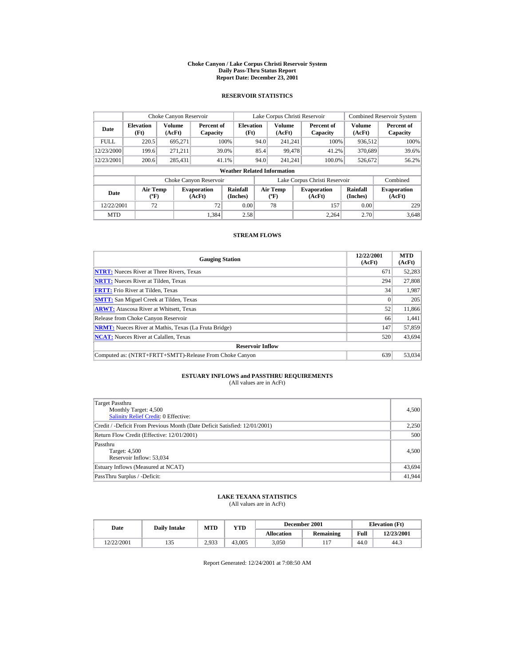#### **Choke Canyon / Lake Corpus Christi Reservoir System Daily Pass-Thru Status Report Report Date: December 23, 2001**

## **RESERVOIR STATISTICS**

|             | Choke Canyon Reservoir                      |                  |                              |                          |      | Lake Corpus Christi Reservoir    |  |                               |                      | <b>Combined Reservoir System</b> |  |  |  |
|-------------|---------------------------------------------|------------------|------------------------------|--------------------------|------|----------------------------------|--|-------------------------------|----------------------|----------------------------------|--|--|--|
| Date        | <b>Elevation</b><br>(Ft)                    | Volume<br>(AcFt) | Percent of<br>Capacity       | <b>Elevation</b><br>(Ft) |      | <b>Volume</b><br>(AcFt)          |  | Percent of<br>Capacity        | Volume<br>(AcFt)     | Percent of<br>Capacity           |  |  |  |
| <b>FULL</b> | 220.5                                       | 695.271          |                              | 100%                     | 94.0 | 241.241                          |  | 100%                          | 936,512              | 100%                             |  |  |  |
| 12/23/2000  | 199.6                                       | 271.211          |                              | 39.0%                    | 85.4 | 99.478                           |  | 41.2%                         | 370.689              | 39.6%                            |  |  |  |
| 12/23/2001  | 200.6                                       | 285,431          |                              | 41.1%                    | 94.0 | 241.241                          |  | 100.0%                        | 526,672              | 56.2%                            |  |  |  |
|             | <b>Weather Related Information</b>          |                  |                              |                          |      |                                  |  |                               |                      |                                  |  |  |  |
|             |                                             |                  | Choke Canyon Reservoir       |                          |      |                                  |  | Lake Corpus Christi Reservoir |                      | Combined                         |  |  |  |
| Date        | <b>Air Temp</b><br>$({}^{\circ}\mathrm{F})$ |                  | <b>Evaporation</b><br>(AcFt) | Rainfall<br>(Inches)     |      | Air Temp<br>$(^{\circ}\text{F})$ |  | <b>Evaporation</b><br>(AcFt)  | Rainfall<br>(Inches) | <b>Evaporation</b><br>(AcFt)     |  |  |  |
| 12/22/2001  | 72                                          |                  | 72                           | 0.00                     |      | 78                               |  | 157                           | 0.00                 | 229                              |  |  |  |
| <b>MTD</b>  |                                             |                  | 1.384                        | 2.58                     |      |                                  |  | 2.264                         | 2.70                 | 3.648                            |  |  |  |

## **STREAM FLOWS**

| <b>Gauging Station</b>                                       | 12/22/2001<br>(AcFt) | <b>MTD</b><br>(AcFt) |
|--------------------------------------------------------------|----------------------|----------------------|
| <b>NTRT:</b> Nueces River at Three Rivers, Texas             | 671                  | 52,283               |
| <b>NRTT:</b> Nueces River at Tilden, Texas                   | 294                  | 27,808               |
| <b>FRTT:</b> Frio River at Tilden, Texas                     | 34                   | 1,987                |
| <b>SMTT:</b> San Miguel Creek at Tilden, Texas               |                      | 205                  |
| <b>ARWT:</b> Atascosa River at Whitsett, Texas               | 52                   | 11,866               |
| Release from Choke Canyon Reservoir                          | 66                   | 1,441                |
| <b>NRMT:</b> Nueces River at Mathis, Texas (La Fruta Bridge) | 147                  | 57,859               |
| <b>NCAT:</b> Nueces River at Calallen, Texas                 | 520                  | 43,694               |
| <b>Reservoir Inflow</b>                                      |                      |                      |
| Computed as: (NTRT+FRTT+SMTT)-Release From Choke Canyon      | 639                  | 53,034               |

# **ESTUARY INFLOWS and PASSTHRU REQUIREMENTS**<br>(All values are in AcFt)

| Target Passthru<br>Monthly Target: 4,500<br>Salinity Relief Credit: 0 Effective: | 4,500  |
|----------------------------------------------------------------------------------|--------|
| Credit / -Deficit From Previous Month (Date Deficit Satisfied: 12/01/2001)       | 2,250  |
| Return Flow Credit (Effective: 12/01/2001)                                       | 500    |
| Passthru<br>Target: 4,500<br>Reservoir Inflow: 53,034                            | 4,500  |
| Estuary Inflows (Measured at NCAT)                                               | 43,694 |
| PassThru Surplus / -Deficit:                                                     | 41,944 |

## **LAKE TEXANA STATISTICS**

(All values are in AcFt)

| Date       | <b>Daily Intake</b> | <b>MTD</b> | VTD    |                   | December 2001 | <b>Elevation</b> (Ft) |            |
|------------|---------------------|------------|--------|-------------------|---------------|-----------------------|------------|
|            |                     |            |        | <b>Allocation</b> | Remaining     | Full                  | 12/23/2001 |
| 12/22/2001 | 133                 | 2.933      | 43,005 | 3.050             |               | 44.0                  | 44.3       |

Report Generated: 12/24/2001 at 7:08:50 AM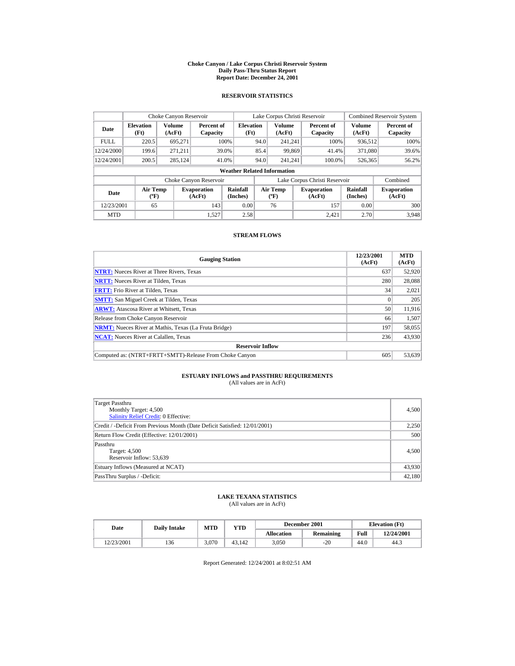#### **Choke Canyon / Lake Corpus Christi Reservoir System Daily Pass-Thru Status Report Report Date: December 24, 2001**

## **RESERVOIR STATISTICS**

|             | Choke Canyon Reservoir                      |                  |                              |                          |      | Lake Corpus Christi Reservoir    |  |                               |                      | <b>Combined Reservoir System</b> |  |  |  |
|-------------|---------------------------------------------|------------------|------------------------------|--------------------------|------|----------------------------------|--|-------------------------------|----------------------|----------------------------------|--|--|--|
| Date        | <b>Elevation</b><br>(Ft)                    | Volume<br>(AcFt) | Percent of<br>Capacity       | <b>Elevation</b><br>(Ft) |      | <b>Volume</b><br>(AcFt)          |  | Percent of<br>Capacity        | Volume<br>(AcFt)     | Percent of<br>Capacity           |  |  |  |
| <b>FULL</b> | 220.5                                       | 695.271          |                              | 100%                     | 94.0 | 241.241                          |  | 100%                          | 936,512              | 100%                             |  |  |  |
| 12/24/2000  | 199.6                                       | 271.211          |                              | 39.0%                    | 85.4 | 99.869                           |  | 41.4%                         | 371,080              | 39.6%                            |  |  |  |
| 12/24/2001  | 200.5                                       | 285,124          |                              | 41.0%                    | 94.0 | 241.241                          |  | 100.0%                        | 526,365              | 56.2%                            |  |  |  |
|             | <b>Weather Related Information</b>          |                  |                              |                          |      |                                  |  |                               |                      |                                  |  |  |  |
|             |                                             |                  | Choke Canyon Reservoir       |                          |      |                                  |  | Lake Corpus Christi Reservoir |                      | Combined                         |  |  |  |
| Date        | <b>Air Temp</b><br>$({}^{\circ}\mathrm{F})$ |                  | <b>Evaporation</b><br>(AcFt) | Rainfall<br>(Inches)     |      | Air Temp<br>$(^{\circ}\text{F})$ |  | <b>Evaporation</b><br>(AcFt)  | Rainfall<br>(Inches) | <b>Evaporation</b><br>(AcFt)     |  |  |  |
| 12/23/2001  | 65                                          |                  | 143                          | 0.00                     |      | 76                               |  | 157                           | 0.00                 | 300                              |  |  |  |
| <b>MTD</b>  |                                             |                  | 1.527                        | 2.58                     |      |                                  |  | 2.421                         | 2.70                 | 3.948                            |  |  |  |

## **STREAM FLOWS**

| <b>Gauging Station</b>                                       | 12/23/2001<br>(AcFt) | <b>MTD</b><br>(AcFt) |
|--------------------------------------------------------------|----------------------|----------------------|
| <b>NTRT:</b> Nueces River at Three Rivers, Texas             | 637                  | 52,920               |
| <b>NRTT:</b> Nueces River at Tilden, Texas                   | 280                  | 28,088               |
| <b>FRTT:</b> Frio River at Tilden, Texas                     | 34                   | 2,021                |
| <b>SMTT:</b> San Miguel Creek at Tilden, Texas               | $\Omega$             | 205                  |
| <b>ARWT:</b> Atascosa River at Whitsett, Texas               | 50                   | 11,916               |
| Release from Choke Canyon Reservoir                          | 66                   | 1,507                |
| <b>NRMT:</b> Nueces River at Mathis, Texas (La Fruta Bridge) | 197                  | 58,055               |
| <b>NCAT:</b> Nueces River at Calallen, Texas                 | 236                  | 43,930               |
| <b>Reservoir Inflow</b>                                      |                      |                      |
| Computed as: (NTRT+FRTT+SMTT)-Release From Choke Canyon      | 605                  | 53,639               |

# **ESTUARY INFLOWS and PASSTHRU REQUIREMENTS**<br>(All values are in AcFt)

| Target Passthru<br>Monthly Target: 4,500<br><b>Salinity Relief Credit: 0 Effective:</b> | 4,500  |
|-----------------------------------------------------------------------------------------|--------|
| Credit / -Deficit From Previous Month (Date Deficit Satisfied: 12/01/2001)              | 2,250  |
| Return Flow Credit (Effective: 12/01/2001)                                              | 500    |
| Passthru<br>Target: 4,500<br>Reservoir Inflow: 53,639                                   | 4,500  |
| Estuary Inflows (Measured at NCAT)                                                      | 43,930 |
| PassThru Surplus / -Deficit:                                                            | 42,180 |

## **LAKE TEXANA STATISTICS**

(All values are in AcFt)

| Date       | <b>Daily Intake</b> | <b>MTD</b> | YTD    |                   | December 2001 | <b>Elevation</b> (Ft) |            |
|------------|---------------------|------------|--------|-------------------|---------------|-----------------------|------------|
|            |                     |            |        | <b>Allocation</b> | Remaining     | Full                  | 12/24/2001 |
| 12/23/2001 | 136                 | 3.070      | 43.142 | 3.050             | $-20$         | 44.0                  | 44.3       |

Report Generated: 12/24/2001 at 8:02:51 AM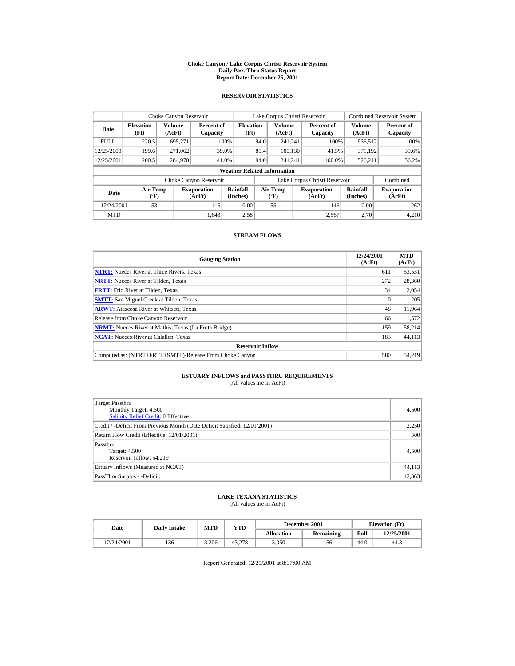#### **Choke Canyon / Lake Corpus Christi Reservoir System Daily Pass-Thru Status Report Report Date: December 25, 2001**

## **RESERVOIR STATISTICS**

|             | Choke Canyon Reservoir             |                  |                              |                          | Lake Corpus Christi Reservoir |                                  |  |                               |                             | <b>Combined Reservoir System</b> |  |  |
|-------------|------------------------------------|------------------|------------------------------|--------------------------|-------------------------------|----------------------------------|--|-------------------------------|-----------------------------|----------------------------------|--|--|
| Date        | <b>Elevation</b><br>(Ft)           | Volume<br>(AcFt) | Percent of<br>Capacity       | <b>Elevation</b><br>(Ft) |                               | Volume<br>(AcFt)                 |  | Percent of<br>Capacity        | Volume<br>(AcFt)            | Percent of<br>Capacity           |  |  |
| <b>FULL</b> | 220.5                              | 695.271          |                              | 100%                     | 94.0                          | 241.241                          |  | 100%                          | 936,512                     | 100%                             |  |  |
| 12/25/2000  | 199.6                              | 271,062          |                              | 39.0%                    | 85.4                          | 100.130                          |  | 41.5%                         | 371.192                     | 39.6%                            |  |  |
| 12/25/2001  | 200.5                              | 284,970          |                              | 41.0%                    | 94.0                          | 241.241                          |  | 100.0%                        | 526,211                     | 56.2%                            |  |  |
|             | <b>Weather Related Information</b> |                  |                              |                          |                               |                                  |  |                               |                             |                                  |  |  |
|             |                                    |                  | Choke Canyon Reservoir       |                          |                               |                                  |  | Lake Corpus Christi Reservoir |                             | Combined                         |  |  |
| <b>Date</b> | <b>Air Temp</b><br>$(^{\circ}F)$   |                  | <b>Evaporation</b><br>(AcFt) | Rainfall<br>(Inches)     |                               | <b>Air Temp</b><br>$(^{\circ}F)$ |  | <b>Evaporation</b><br>(AcFt)  | <b>Rainfall</b><br>(Inches) | <b>Evaporation</b><br>(AcFt)     |  |  |
| 12/24/2001  | 53                                 |                  | 116                          | 0.00                     |                               | 55                               |  | 146                           | 0.00                        | 262                              |  |  |
| <b>MTD</b>  |                                    |                  | 1.643                        | 2.58                     |                               |                                  |  | 2.567                         | 2.70                        | 4.210                            |  |  |

## **STREAM FLOWS**

| <b>Gauging Station</b>                                       | 12/24/2001<br>(AcFt) | <b>MTD</b><br>(AcFt) |
|--------------------------------------------------------------|----------------------|----------------------|
| <b>NTRT:</b> Nueces River at Three Rivers, Texas             | 611                  | 53,531               |
| <b>NRTT:</b> Nueces River at Tilden, Texas                   | 272                  | 28,360               |
| <b>FRTT:</b> Frio River at Tilden, Texas                     | 34                   | 2,054                |
| <b>SMTT:</b> San Miguel Creek at Tilden, Texas               |                      | 205                  |
| <b>ARWT:</b> Atascosa River at Whitsett, Texas               | 48                   | 11,964               |
| Release from Choke Canyon Reservoir                          | 66                   | 1,572                |
| <b>NRMT:</b> Nueces River at Mathis, Texas (La Fruta Bridge) | 159                  | 58,214               |
| <b>NCAT:</b> Nueces River at Calallen, Texas                 | 183                  | 44,113               |
| <b>Reservoir Inflow</b>                                      |                      |                      |
| Computed as: (NTRT+FRTT+SMTT)-Release From Choke Canyon      | 580                  | 54,219               |

# **ESTUARY INFLOWS and PASSTHRU REQUIREMENTS**<br>(All values are in AcFt)

| Target Passthru<br>Monthly Target: 4,500<br>Salinity Relief Credit: 0 Effective: | 4,500  |
|----------------------------------------------------------------------------------|--------|
| Credit / -Deficit From Previous Month (Date Deficit Satisfied: 12/01/2001)       | 2,250  |
| Return Flow Credit (Effective: 12/01/2001)                                       | 500    |
| Passthru<br>Target: 4,500<br>Reservoir Inflow: 54.219                            | 4,500  |
| Estuary Inflows (Measured at NCAT)                                               | 44,113 |
| PassThru Surplus / -Deficit:                                                     | 42,363 |

## **LAKE TEXANA STATISTICS**

(All values are in AcFt)

| Date       | <b>Daily Intake</b> |       | December 2001<br>MTD<br>VTD |            |           | <b>Elevation</b> (Ft) |            |
|------------|---------------------|-------|-----------------------------|------------|-----------|-----------------------|------------|
|            |                     |       |                             | Allocation | Remaining | Full                  | 12/25/2001 |
| 12/24/2001 | 136                 | 3.206 | 43.278                      | 3.050      | $-156$    | 44.0                  | 44.3       |

Report Generated: 12/25/2001 at 8:37:00 AM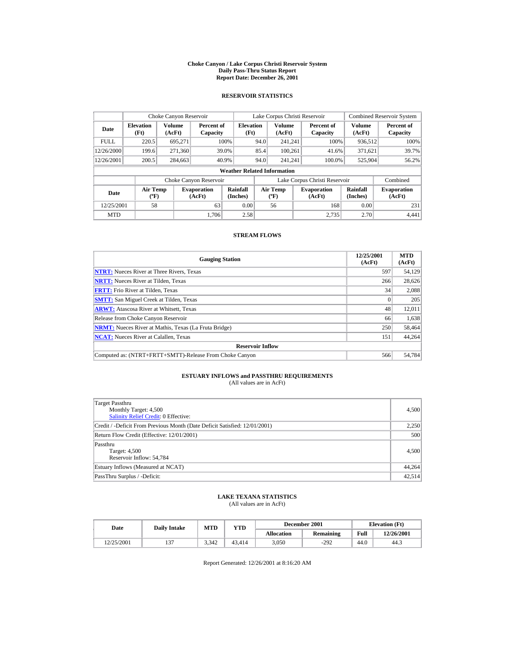#### **Choke Canyon / Lake Corpus Christi Reservoir System Daily Pass-Thru Status Report Report Date: December 26, 2001**

## **RESERVOIR STATISTICS**

|             | Choke Canyon Reservoir             |                         |                              |                          | Lake Corpus Christi Reservoir |                                   |  |                               |                         | <b>Combined Reservoir System</b> |  |  |
|-------------|------------------------------------|-------------------------|------------------------------|--------------------------|-------------------------------|-----------------------------------|--|-------------------------------|-------------------------|----------------------------------|--|--|
| Date        | <b>Elevation</b><br>(Ft)           | <b>Volume</b><br>(AcFt) | Percent of<br>Capacity       | <b>Elevation</b><br>(Ft) |                               | <b>Volume</b><br>(AcFt)           |  | Percent of<br>Capacity        | <b>Volume</b><br>(AcFt) | Percent of<br>Capacity           |  |  |
| <b>FULL</b> | 220.5                              | 695,271                 |                              | 100%                     | 94.0                          | 241.241                           |  | 100%                          | 936,512                 | 100%                             |  |  |
| 12/26/2000  | 199.6                              | 271.360                 |                              | 39.0%                    | 85.4                          | 100.261                           |  | 41.6%                         | 371.621                 | 39.7%                            |  |  |
| 12/26/2001  | 200.5                              | 284,663                 |                              | 40.9%                    | 94.0                          | 241.241                           |  | 100.0%                        | 525,904                 | 56.2%                            |  |  |
|             | <b>Weather Related Information</b> |                         |                              |                          |                               |                                   |  |                               |                         |                                  |  |  |
|             |                                    |                         | Choke Canyon Reservoir       |                          |                               |                                   |  | Lake Corpus Christi Reservoir |                         | Combined                         |  |  |
| Date        | Air Temp<br>$({}^o\mathrm{F})$     |                         | <b>Evaporation</b><br>(AcFt) | Rainfall<br>(Inches)     |                               | Air Temp<br>$({}^{\circ}{\rm F})$ |  | <b>Evaporation</b><br>(AcFt)  | Rainfall<br>(Inches)    | <b>Evaporation</b><br>(AcFt)     |  |  |
| 12/25/2001  | 58                                 |                         | 63                           | 0.00                     |                               | 56                                |  | 168                           | 0.00                    | 231                              |  |  |
| <b>MTD</b>  |                                    |                         | 1.706                        | 2.58                     |                               |                                   |  | 2.735                         | 2.70                    | 4,441                            |  |  |

## **STREAM FLOWS**

| <b>Gauging Station</b>                                       | 12/25/2001<br>(AcFt) | <b>MTD</b><br>(AcFt) |
|--------------------------------------------------------------|----------------------|----------------------|
| <b>NTRT:</b> Nueces River at Three Rivers, Texas             | 597                  | 54,129               |
| <b>NRTT:</b> Nueces River at Tilden, Texas                   | 266                  | 28.626               |
| <b>FRTT:</b> Frio River at Tilden, Texas                     | 34                   | 2,088                |
| <b>SMTT:</b> San Miguel Creek at Tilden, Texas               |                      | 205                  |
| <b>ARWT:</b> Atascosa River at Whitsett, Texas               | 48                   | 12,011               |
| Release from Choke Canyon Reservoir                          | 66                   | 1,638                |
| <b>NRMT:</b> Nueces River at Mathis, Texas (La Fruta Bridge) | 250                  | 58,464               |
| <b>NCAT:</b> Nueces River at Calallen, Texas                 | 151                  | 44,264               |
| <b>Reservoir Inflow</b>                                      |                      |                      |
| Computed as: (NTRT+FRTT+SMTT)-Release From Choke Canyon      | 566                  | 54,784               |

# **ESTUARY INFLOWS and PASSTHRU REQUIREMENTS**<br>(All values are in AcFt)

| Target Passthru<br>Monthly Target: 4,500<br>Salinity Relief Credit: 0 Effective: | 4,500  |
|----------------------------------------------------------------------------------|--------|
| Credit / -Deficit From Previous Month (Date Deficit Satisfied: 12/01/2001)       | 2,250  |
| Return Flow Credit (Effective: 12/01/2001)                                       | 500    |
| Passthru<br>Target: 4,500<br>Reservoir Inflow: 54,784                            | 4,500  |
| Estuary Inflows (Measured at NCAT)                                               | 44,264 |
| PassThru Surplus / -Deficit:                                                     | 42,514 |

## **LAKE TEXANA STATISTICS**

(All values are in AcFt)

| Date       | <b>Daily Intake</b> | <b>MTD</b> | $_{\rm VTD}$ |                   | December 2001 | <b>Elevation</b> (Ft) |            |
|------------|---------------------|------------|--------------|-------------------|---------------|-----------------------|------------|
|            |                     |            |              | <b>Allocation</b> | Remaining     | Full                  | 12/26/2001 |
| 12/25/2001 | $\sim$              | 3.342      | 43.414       | 3.050             | $-292$        | 44.0                  | 44.3       |

Report Generated: 12/26/2001 at 8:16:20 AM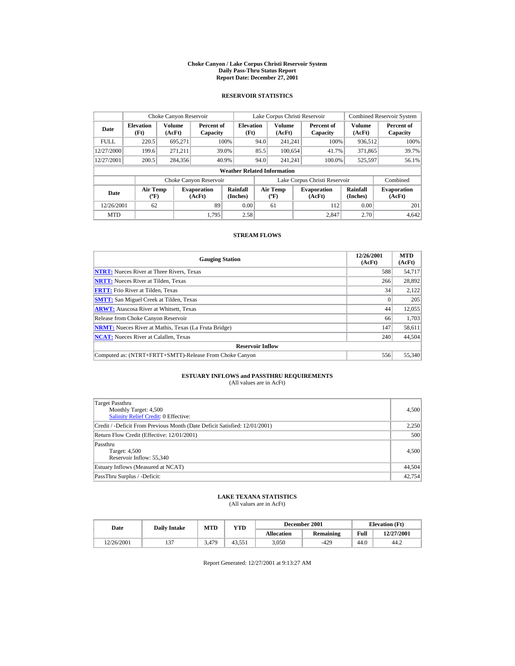#### **Choke Canyon / Lake Corpus Christi Reservoir System Daily Pass-Thru Status Report Report Date: December 27, 2001**

## **RESERVOIR STATISTICS**

|             | Choke Canyon Reservoir                      |                  |                              |                          |      | Lake Corpus Christi Reservoir     |  |                               |                      | <b>Combined Reservoir System</b> |  |  |
|-------------|---------------------------------------------|------------------|------------------------------|--------------------------|------|-----------------------------------|--|-------------------------------|----------------------|----------------------------------|--|--|
| Date        | <b>Elevation</b><br>(Ft)                    | Volume<br>(AcFt) | Percent of<br>Capacity       | <b>Elevation</b><br>(Ft) |      | <b>Volume</b><br>(AcFt)           |  | Percent of<br>Capacity        | Volume<br>(AcFt)     | Percent of<br>Capacity           |  |  |
| <b>FULL</b> | 220.5                                       | 695.271          |                              | 100%                     | 94.0 | 241.241                           |  | 100%                          | 936,512              | 100%                             |  |  |
| 12/27/2000  | 199.6                                       | 271.211          |                              | 39.0%                    | 85.5 | 100.654                           |  | 41.7%                         | 371,865              | 39.7%                            |  |  |
| 12/27/2001  | 200.5                                       | 284,356          |                              | 40.9%                    | 94.0 | 241.241                           |  | 100.0%                        | 525,597              | 56.1%                            |  |  |
|             | <b>Weather Related Information</b>          |                  |                              |                          |      |                                   |  |                               |                      |                                  |  |  |
|             |                                             |                  | Choke Canyon Reservoir       |                          |      |                                   |  | Lake Corpus Christi Reservoir |                      | Combined                         |  |  |
| Date        | <b>Air Temp</b><br>$({}^{\circ}\mathrm{F})$ |                  | <b>Evaporation</b><br>(AcFt) | Rainfall<br>(Inches)     |      | Air Temp<br>$({}^{\circ}{\rm F})$ |  | <b>Evaporation</b><br>(AcFt)  | Rainfall<br>(Inches) | <b>Evaporation</b><br>(AcFt)     |  |  |
| 12/26/2001  | 62                                          |                  | 89                           | 0.00                     |      | 61                                |  | 112                           | 0.00                 | 201                              |  |  |
| <b>MTD</b>  |                                             |                  | 1.795                        | 2.58                     |      |                                   |  | 2.847                         | 2.70                 | 4.642                            |  |  |

## **STREAM FLOWS**

| <b>Gauging Station</b>                                       | 12/26/2001<br>(AcFt) | <b>MTD</b><br>(AcFt) |
|--------------------------------------------------------------|----------------------|----------------------|
| <b>NTRT:</b> Nueces River at Three Rivers, Texas             | 588                  | 54,717               |
| <b>NRTT:</b> Nueces River at Tilden, Texas                   | 266                  | 28,892               |
| <b>FRTT:</b> Frio River at Tilden, Texas                     | 34                   | 2,122                |
| <b>SMTT:</b> San Miguel Creek at Tilden, Texas               |                      | 205                  |
| <b>ARWT:</b> Atascosa River at Whitsett, Texas               | 44                   | 12,055               |
| Release from Choke Canyon Reservoir                          | 66                   | 1,703                |
| <b>NRMT:</b> Nueces River at Mathis, Texas (La Fruta Bridge) | 147                  | 58,611               |
| <b>NCAT:</b> Nueces River at Calallen, Texas                 | 240                  | 44,504               |
| <b>Reservoir Inflow</b>                                      |                      |                      |
| Computed as: (NTRT+FRTT+SMTT)-Release From Choke Canyon      | 556                  | 55,340               |

# **ESTUARY INFLOWS and PASSTHRU REQUIREMENTS**<br>(All values are in AcFt)

| Target Passthru<br>Monthly Target: 4,500<br>Salinity Relief Credit: 0 Effective: | 4,500  |
|----------------------------------------------------------------------------------|--------|
| Credit / -Deficit From Previous Month (Date Deficit Satisfied: 12/01/2001)       | 2,250  |
| Return Flow Credit (Effective: 12/01/2001)                                       | 500    |
| Passthru<br>Target: 4,500<br>Reservoir Inflow: 55,340                            | 4,500  |
| Estuary Inflows (Measured at NCAT)                                               | 44,504 |
| PassThru Surplus / -Deficit:                                                     | 42,754 |

## **LAKE TEXANA STATISTICS**

(All values are in AcFt)

| Date       | <b>Daily Intake</b> | <b>MTD</b> | VTD    |                   | December 2001 | <b>Elevation</b> (Ft) |            |
|------------|---------------------|------------|--------|-------------------|---------------|-----------------------|------------|
|            |                     |            |        | <b>Allocation</b> | Remaining     | Full                  | 12/27/2001 |
| 12/26/2001 | $\sim$              | 3.479      | 43.551 | 3.050             | $-429$        | 44.0                  | 44.2       |

Report Generated: 12/27/2001 at 9:13:27 AM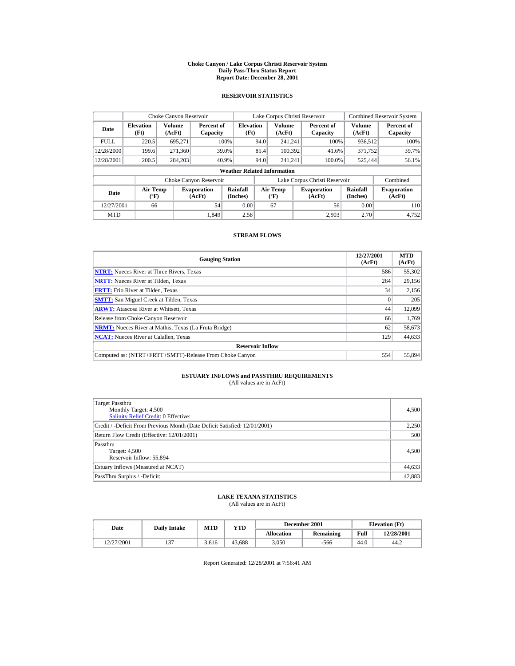#### **Choke Canyon / Lake Corpus Christi Reservoir System Daily Pass-Thru Status Report Report Date: December 28, 2001**

## **RESERVOIR STATISTICS**

|             | Choke Canyon Reservoir             |                  |                              |                          | Lake Corpus Christi Reservoir |                                             |  |                               |                             | <b>Combined Reservoir System</b> |  |  |
|-------------|------------------------------------|------------------|------------------------------|--------------------------|-------------------------------|---------------------------------------------|--|-------------------------------|-----------------------------|----------------------------------|--|--|
| Date        | <b>Elevation</b><br>(Ft)           | Volume<br>(AcFt) | Percent of<br>Capacity       | <b>Elevation</b><br>(Ft) |                               | Volume<br>(AcFt)                            |  | Percent of<br>Capacity        | Volume<br>(AcFt)            | Percent of<br>Capacity           |  |  |
| <b>FULL</b> | 220.5                              | 695.271          |                              | 100%                     | 94.0                          | 241.241                                     |  | 100%                          | 936,512                     | 100%                             |  |  |
| 12/28/2000  | 199.6                              | 271,360          |                              | 39.0%                    | 85.4                          | 100,392                                     |  | 41.6%                         | 371.752                     | 39.7%                            |  |  |
| 12/28/2001  | 200.5                              | 284,203          |                              | 40.9%                    | 94.0                          | 241.241                                     |  | 100.0%                        | 525,444                     | 56.1%                            |  |  |
|             | <b>Weather Related Information</b> |                  |                              |                          |                               |                                             |  |                               |                             |                                  |  |  |
|             |                                    |                  | Choke Canyon Reservoir       |                          |                               |                                             |  | Lake Corpus Christi Reservoir |                             | Combined                         |  |  |
| <b>Date</b> | <b>Air Temp</b><br>$(^{\circ}F)$   |                  | <b>Evaporation</b><br>(AcFt) | Rainfall<br>(Inches)     |                               | <b>Air Temp</b><br>$({}^{\circ}\mathbf{F})$ |  | <b>Evaporation</b><br>(AcFt)  | <b>Rainfall</b><br>(Inches) | <b>Evaporation</b><br>(AcFt)     |  |  |
| 12/27/2001  | 66                                 |                  | 54                           | 0.00                     |                               | 67                                          |  | 56                            | 0.00                        | 110                              |  |  |
| <b>MTD</b>  |                                    |                  | 1.849                        | 2.58                     |                               |                                             |  | 2.903                         | 2.70                        | 4.752                            |  |  |

## **STREAM FLOWS**

| <b>Gauging Station</b>                                       | 12/27/2001<br>(AcFt) | <b>MTD</b><br>(AcFt) |
|--------------------------------------------------------------|----------------------|----------------------|
| <b>NTRT:</b> Nueces River at Three Rivers, Texas             | 586                  | 55,302               |
| <b>NRTT:</b> Nueces River at Tilden, Texas                   | 264                  | 29,156               |
| <b>FRTT:</b> Frio River at Tilden, Texas                     | 34                   | 2,156                |
| <b>SMTT:</b> San Miguel Creek at Tilden, Texas               |                      | 205                  |
| <b>ARWT:</b> Atascosa River at Whitsett, Texas               | 44                   | 12,099               |
| Release from Choke Canyon Reservoir                          | 66                   | 1.769                |
| <b>NRMT:</b> Nueces River at Mathis, Texas (La Fruta Bridge) | 62                   | 58,673               |
| <b>NCAT:</b> Nueces River at Calallen, Texas                 | 129                  | 44,633               |
| <b>Reservoir Inflow</b>                                      |                      |                      |
| Computed as: (NTRT+FRTT+SMTT)-Release From Choke Canyon      | 554                  | 55,894               |

# **ESTUARY INFLOWS and PASSTHRU REQUIREMENTS**<br>(All values are in AcFt)

| Target Passthru<br>Monthly Target: 4,500<br>Salinity Relief Credit: 0 Effective: | 4,500  |
|----------------------------------------------------------------------------------|--------|
| Credit / -Deficit From Previous Month (Date Deficit Satisfied: 12/01/2001)       | 2,250  |
| Return Flow Credit (Effective: 12/01/2001)                                       | 500    |
| Passthru<br>Target: 4,500<br>Reservoir Inflow: 55,894                            | 4,500  |
| Estuary Inflows (Measured at NCAT)                                               | 44,633 |
| PassThru Surplus / -Deficit:                                                     | 42,883 |

## **LAKE TEXANA STATISTICS**

(All values are in AcFt)

| Date       | <b>Daily Intake</b> | <b>MTD</b> | $_{\rm VTD}$ |                   | December 2001 | <b>Elevation</b> (Ft) |            |
|------------|---------------------|------------|--------------|-------------------|---------------|-----------------------|------------|
|            |                     |            |              | <b>Allocation</b> | Remaining     | Full                  | 12/28/2001 |
| 12/27/2001 | $\sim$              | 3.616      | 43.688       | 3.050             | $-566$        | 44.0                  | 44.2       |

Report Generated: 12/28/2001 at 7:56:41 AM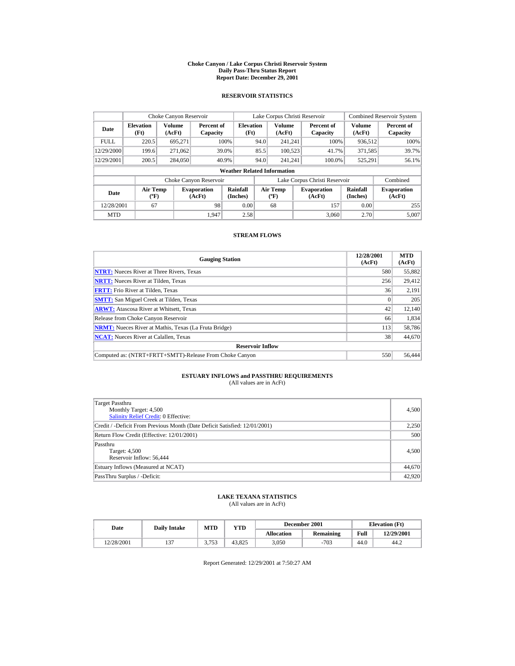#### **Choke Canyon / Lake Corpus Christi Reservoir System Daily Pass-Thru Status Report Report Date: December 29, 2001**

## **RESERVOIR STATISTICS**

|             | Choke Canyon Reservoir             |                  |                              |                          | Lake Corpus Christi Reservoir |                                             |  |                               |                             | <b>Combined Reservoir System</b> |  |  |
|-------------|------------------------------------|------------------|------------------------------|--------------------------|-------------------------------|---------------------------------------------|--|-------------------------------|-----------------------------|----------------------------------|--|--|
| Date        | <b>Elevation</b><br>(Ft)           | Volume<br>(AcFt) | Percent of<br>Capacity       | <b>Elevation</b><br>(Ft) |                               | Volume<br>(AcFt)                            |  | Percent of<br>Capacity        | Volume<br>(AcFt)            | Percent of<br>Capacity           |  |  |
| <b>FULL</b> | 220.5                              | 695.271          |                              | 100%                     | 94.0                          | 241.241                                     |  | 100%                          | 936,512                     | 100%                             |  |  |
| 12/29/2000  | 199.6                              | 271,062          |                              | 39.0%                    | 85.5                          | 100,523                                     |  | 41.7%                         | 371,585                     | 39.7%                            |  |  |
| 12/29/2001  | 200.5                              | 284,050          |                              | 40.9%                    | 94.0                          | 241.241                                     |  | 100.0%                        | 525,291                     | 56.1%                            |  |  |
|             | <b>Weather Related Information</b> |                  |                              |                          |                               |                                             |  |                               |                             |                                  |  |  |
|             |                                    |                  | Choke Canyon Reservoir       |                          |                               |                                             |  | Lake Corpus Christi Reservoir |                             | Combined                         |  |  |
| <b>Date</b> | <b>Air Temp</b><br>$(^{\circ}F)$   |                  | <b>Evaporation</b><br>(AcFt) | Rainfall<br>(Inches)     |                               | <b>Air Temp</b><br>$({}^{\circ}\mathbf{F})$ |  | <b>Evaporation</b><br>(AcFt)  | <b>Rainfall</b><br>(Inches) | <b>Evaporation</b><br>(AcFt)     |  |  |
| 12/28/2001  | 67                                 |                  | 98                           | 0.00                     |                               | 68                                          |  | 157                           | 0.00                        | 255                              |  |  |
| <b>MTD</b>  |                                    |                  | 1.947                        | 2.58                     |                               |                                             |  | 3.060                         | 2.70                        | 5.007                            |  |  |

## **STREAM FLOWS**

| <b>Gauging Station</b>                                       | 12/28/2001<br>(AcFt) | <b>MTD</b><br>(AcFt) |
|--------------------------------------------------------------|----------------------|----------------------|
| <b>NTRT:</b> Nueces River at Three Rivers, Texas             | 580                  | 55,882               |
| <b>NRTT:</b> Nueces River at Tilden, Texas                   | 256                  | 29,412               |
| <b>FRTT:</b> Frio River at Tilden, Texas                     | 36                   | 2,191                |
| <b>SMTT:</b> San Miguel Creek at Tilden, Texas               |                      | 205                  |
| <b>ARWT:</b> Atascosa River at Whitsett, Texas               | 42                   | 12,140               |
| Release from Choke Canyon Reservoir                          | 66                   | 1,834                |
| <b>NRMT:</b> Nueces River at Mathis, Texas (La Fruta Bridge) | 113                  | 58,786               |
| <b>NCAT:</b> Nueces River at Calallen, Texas                 | 38                   | 44,670               |
| <b>Reservoir Inflow</b>                                      |                      |                      |
| Computed as: (NTRT+FRTT+SMTT)-Release From Choke Canyon      | 550                  | 56,444               |

# **ESTUARY INFLOWS and PASSTHRU REQUIREMENTS**<br>(All values are in AcFt)

| Target Passthru<br>Monthly Target: 4,500<br><b>Salinity Relief Credit: 0 Effective:</b> | 4,500  |
|-----------------------------------------------------------------------------------------|--------|
| Credit / -Deficit From Previous Month (Date Deficit Satisfied: 12/01/2001)              | 2,250  |
| Return Flow Credit (Effective: 12/01/2001)                                              | 500    |
| Passthru<br>Target: 4,500<br>Reservoir Inflow: 56,444                                   | 4,500  |
| Estuary Inflows (Measured at NCAT)                                                      | 44,670 |
| PassThru Surplus / -Deficit:                                                            | 42,920 |

## **LAKE TEXANA STATISTICS**

(All values are in AcFt)

| Date       | <b>Daily Intake</b> | <b>MTD</b> | $_{\rm VTD}$ |                   | December 2001 | <b>Elevation</b> (Ft) |            |
|------------|---------------------|------------|--------------|-------------------|---------------|-----------------------|------------|
|            |                     |            |              | <b>Allocation</b> | Remaining     | Full                  | 12/29/2001 |
| 12/28/2001 | $\sim$              | 2.752      | 43.825       | 3.050             | $-703$        | 44.0                  | 44.2       |

Report Generated: 12/29/2001 at 7:50:27 AM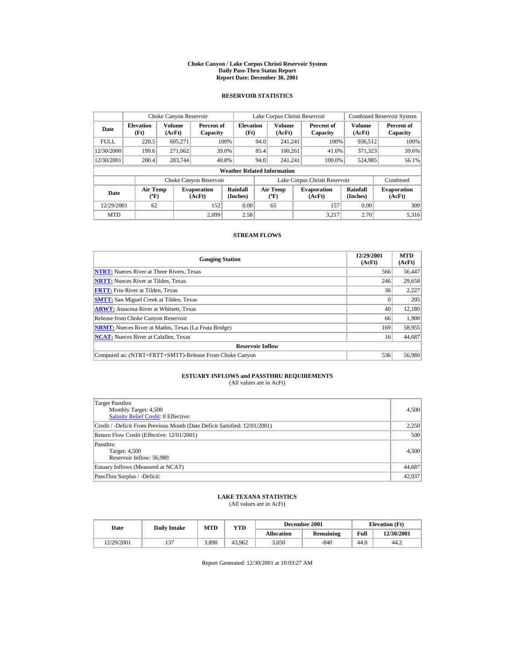#### **Choke Canyon / Lake Corpus Christi Reservoir System Daily Pass-Thru Status Report Report Date: December 30, 2001**

## **RESERVOIR STATISTICS**

|             | Choke Canyon Reservoir             |                  |                              |                          | Lake Corpus Christi Reservoir |                                             |  |                               | <b>Combined Reservoir System</b> |                              |  |  |
|-------------|------------------------------------|------------------|------------------------------|--------------------------|-------------------------------|---------------------------------------------|--|-------------------------------|----------------------------------|------------------------------|--|--|
| Date        | <b>Elevation</b><br>(Ft)           | Volume<br>(AcFt) | Percent of<br>Capacity       | <b>Elevation</b><br>(Ft) |                               | <b>Volume</b><br>(AcFt)                     |  | Percent of<br>Capacity        | Volume<br>(AcFt)                 | Percent of<br>Capacity       |  |  |
| <b>FULL</b> | 220.5                              | 695.271          |                              | 100%                     | 94.0                          | 241.241                                     |  | 100%                          | 936,512                          | 100%                         |  |  |
| 12/30/2000  | 199.6                              | 271,062          |                              | 39.0%                    | 85.4                          | 100.261                                     |  | 41.6%                         | 371,323                          | 39.6%                        |  |  |
| 12/30/2001  | 200.4                              | 283,744          |                              | 40.8%                    | 94.0                          | 241.241                                     |  | 100.0%                        | 524,985                          | 56.1%                        |  |  |
|             | <b>Weather Related Information</b> |                  |                              |                          |                               |                                             |  |                               |                                  |                              |  |  |
|             |                                    |                  | Choke Canyon Reservoir       |                          |                               |                                             |  | Lake Corpus Christi Reservoir |                                  | Combined                     |  |  |
| Date        | <b>Air Temp</b><br>$(^{\circ}F)$   |                  | <b>Evaporation</b><br>(AcFt) | Rainfall<br>(Inches)     |                               | <b>Air Temp</b><br>$({}^{\circ}\mathbf{F})$ |  | <b>Evaporation</b><br>(AcFt)  | <b>Rainfall</b><br>(Inches)      | <b>Evaporation</b><br>(AcFt) |  |  |
| 12/29/2001  | 62                                 |                  | 152                          | 0.00                     |                               | 65                                          |  | 157                           | 0.00                             | 309                          |  |  |
| <b>MTD</b>  |                                    |                  | 2.099                        | 2.58                     |                               |                                             |  | 3.217                         | 2.70                             | 5.316                        |  |  |

## **STREAM FLOWS**

| <b>Gauging Station</b>                                       | 12/29/2001<br>(AcFt) | <b>MTD</b><br>(AcFt) |
|--------------------------------------------------------------|----------------------|----------------------|
| <b>NTRT:</b> Nueces River at Three Rivers, Texas             | 566                  | 56,447               |
| <b>NRTT:</b> Nueces River at Tilden, Texas                   | 246                  | 29,658               |
| <b>FRTT:</b> Frio River at Tilden. Texas                     | 36                   | 2,227                |
| <b>SMTT:</b> San Miguel Creek at Tilden, Texas               |                      | 205                  |
| <b>ARWT:</b> Atascosa River at Whitsett, Texas               | 40                   | 12,180               |
| Release from Choke Canyon Reservoir                          | 66                   | 1,900                |
| <b>NRMT:</b> Nueces River at Mathis, Texas (La Fruta Bridge) | 169                  | 58,955               |
| <b>NCAT:</b> Nueces River at Calallen, Texas                 | 16                   | 44,687               |
| <b>Reservoir Inflow</b>                                      |                      |                      |
| Computed as: (NTRT+FRTT+SMTT)-Release From Choke Canyon      | 536                  | 56,980               |

# **ESTUARY INFLOWS and PASSTHRU REQUIREMENTS**<br>(All values are in AcFt)

| Target Passthru<br>Monthly Target: 4,500<br>Salinity Relief Credit: 0 Effective: | 4,500  |
|----------------------------------------------------------------------------------|--------|
| Credit / -Deficit From Previous Month (Date Deficit Satisfied: 12/01/2001)       | 2,250  |
| Return Flow Credit (Effective: 12/01/2001)                                       | 500    |
| Passthru<br>Target: 4,500<br>Reservoir Inflow: 56,980                            | 4,500  |
| Estuary Inflows (Measured at NCAT)                                               | 44,687 |
| PassThru Surplus / -Deficit:                                                     | 42,937 |

## **LAKE TEXANA STATISTICS**

(All values are in AcFt)

| Date       | <b>Daily Intake</b> | MTD   | YTD    |            | December 2001 | <b>Elevation</b> (Ft) |            |
|------------|---------------------|-------|--------|------------|---------------|-----------------------|------------|
|            |                     |       |        | Allocation | Remaining     | Full                  | 12/30/2001 |
| 12/29/2001 | $\sim$              | 3,890 | 43.962 | 3.050      | -840          | 44.0                  | 44.2       |

Report Generated: 12/30/2001 at 10:03:27 AM